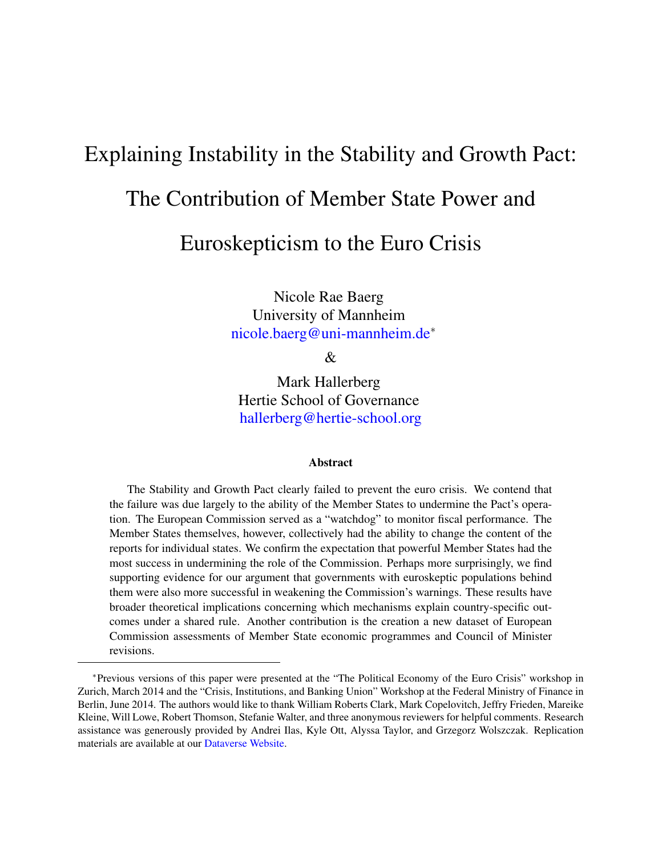# Explaining Instability in the Stability and Growth Pact:

# The Contribution of Member State Power and

# Euroskepticism to the Euro Crisis

Nicole Rae Baerg University of Mannheim <nicole.baerg@uni-mannheim.de><sup>∗</sup>

&

Mark Hallerberg Hertie School of Governance <hallerberg@hertie-school.org>

#### Abstract

The Stability and Growth Pact clearly failed to prevent the euro crisis. We contend that the failure was due largely to the ability of the Member States to undermine the Pact's operation. The European Commission served as a "watchdog" to monitor fiscal performance. The Member States themselves, however, collectively had the ability to change the content of the reports for individual states. We confirm the expectation that powerful Member States had the most success in undermining the role of the Commission. Perhaps more surprisingly, we find supporting evidence for our argument that governments with euroskeptic populations behind them were also more successful in weakening the Commission's warnings. These results have broader theoretical implications concerning which mechanisms explain country-specific outcomes under a shared rule. Another contribution is the creation a new dataset of European Commission assessments of Member State economic programmes and Council of Minister revisions.

<sup>∗</sup>Previous versions of this paper were presented at the "The Political Economy of the Euro Crisis" workshop in Zurich, March 2014 and the "Crisis, Institutions, and Banking Union" Workshop at the Federal Ministry of Finance in Berlin, June 2014. The authors would like to thank William Roberts Clark, Mark Copelovitch, Jeffry Frieden, Mareike Kleine, Will Lowe, Robert Thomson, Stefanie Walter, and three anonymous reviewers for helpful comments. Research assistance was generously provided by Andrei Ilas, Kyle Ott, Alyssa Taylor, and Grzegorz Wolszczak. Replication materials are available at our [Dataverse Website.](http://dx.doi.org/10.7910/DVN/8ROGI1)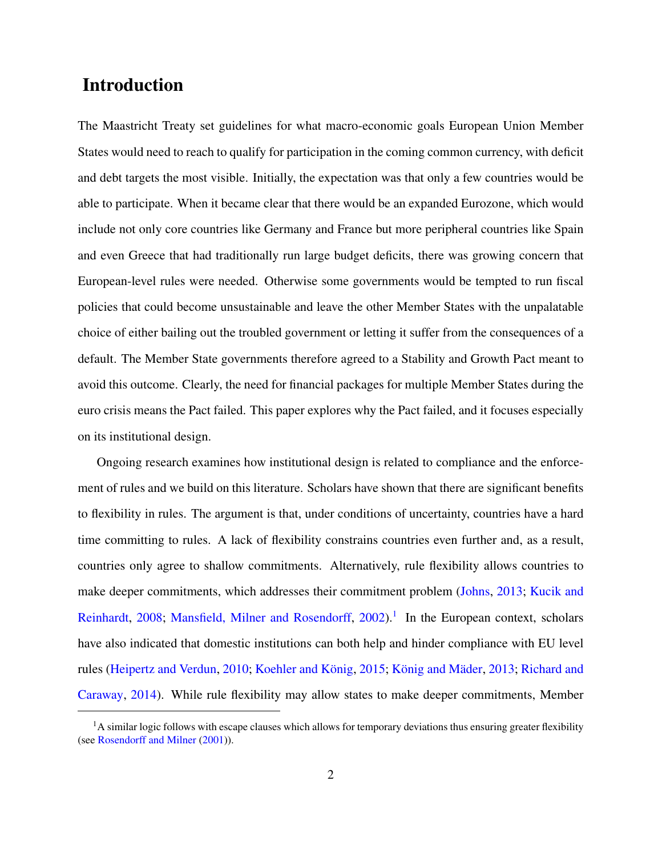### Introduction

The Maastricht Treaty set guidelines for what macro-economic goals European Union Member States would need to reach to qualify for participation in the coming common currency, with deficit and debt targets the most visible. Initially, the expectation was that only a few countries would be able to participate. When it became clear that there would be an expanded Eurozone, which would include not only core countries like Germany and France but more peripheral countries like Spain and even Greece that had traditionally run large budget deficits, there was growing concern that European-level rules were needed. Otherwise some governments would be tempted to run fiscal policies that could become unsustainable and leave the other Member States with the unpalatable choice of either bailing out the troubled government or letting it suffer from the consequences of a default. The Member State governments therefore agreed to a Stability and Growth Pact meant to avoid this outcome. Clearly, the need for financial packages for multiple Member States during the euro crisis means the Pact failed. This paper explores why the Pact failed, and it focuses especially on its institutional design.

Ongoing research examines how institutional design is related to compliance and the enforcement of rules and we build on this literature. Scholars have shown that there are significant benefits to flexibility in rules. The argument is that, under conditions of uncertainty, countries have a hard time committing to rules. A lack of flexibility constrains countries even further and, as a result, countries only agree to shallow commitments. Alternatively, rule flexibility allows countries to make deeper commitments, which addresses their commitment problem [\(Johns,](#page-51-0) [2013;](#page-51-0) [Kucik and](#page-51-1) [Reinhardt,](#page-51-1) [2008;](#page-51-1) [Mansfield, Milner and Rosendorff,](#page-51-2) [2002\)](#page-51-2).<sup>[1](#page-1-0)</sup> In the European context, scholars have also indicated that domestic institutions can both help and hinder compliance with EU level rules [\(Heipertz and Verdun,](#page-51-3) [2010;](#page-51-3) Koehler and König, [2015;](#page-51-4) König and Mäder, [2013;](#page-51-5) [Richard and](#page-52-0) [Caraway,](#page-52-0) [2014\)](#page-52-0). While rule flexibility may allow states to make deeper commitments, Member

<span id="page-1-0"></span><sup>&</sup>lt;sup>1</sup>A similar logic follows with escape clauses which allows for temporary deviations thus ensuring greater flexibility (see [Rosendorff and Milner](#page-52-1) [\(2001\)](#page-52-1)).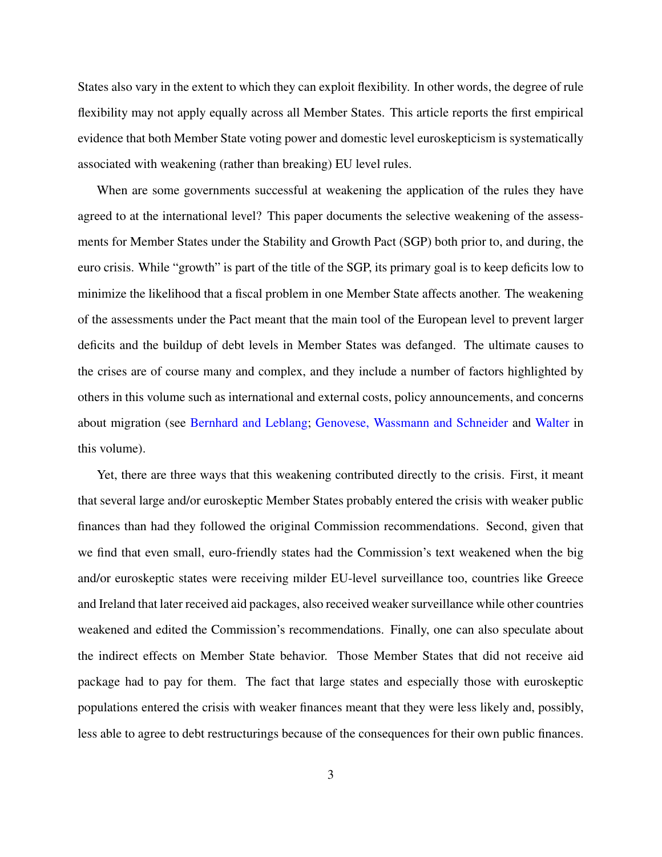States also vary in the extent to which they can exploit flexibility. In other words, the degree of rule flexibility may not apply equally across all Member States. This article reports the first empirical evidence that both Member State voting power and domestic level euroskepticism is systematically associated with weakening (rather than breaking) EU level rules.

When are some governments successful at weakening the application of the rules they have agreed to at the international level? This paper documents the selective weakening of the assessments for Member States under the Stability and Growth Pact (SGP) both prior to, and during, the euro crisis. While "growth" is part of the title of the SGP, its primary goal is to keep deficits low to minimize the likelihood that a fiscal problem in one Member State affects another. The weakening of the assessments under the Pact meant that the main tool of the European level to prevent larger deficits and the buildup of debt levels in Member States was defanged. The ultimate causes to the crises are of course many and complex, and they include a number of factors highlighted by others in this volume such as international and external costs, policy announcements, and concerns about migration (see [Bernhard and Leblang;](#page-49-0) [Genovese, Wassmann and Schneider](#page-50-0) and [Walter](#page-53-0) in this volume).

Yet, there are three ways that this weakening contributed directly to the crisis. First, it meant that several large and/or euroskeptic Member States probably entered the crisis with weaker public finances than had they followed the original Commission recommendations. Second, given that we find that even small, euro-friendly states had the Commission's text weakened when the big and/or euroskeptic states were receiving milder EU-level surveillance too, countries like Greece and Ireland that later received aid packages, also received weaker surveillance while other countries weakened and edited the Commission's recommendations. Finally, one can also speculate about the indirect effects on Member State behavior. Those Member States that did not receive aid package had to pay for them. The fact that large states and especially those with euroskeptic populations entered the crisis with weaker finances meant that they were less likely and, possibly, less able to agree to debt restructurings because of the consequences for their own public finances.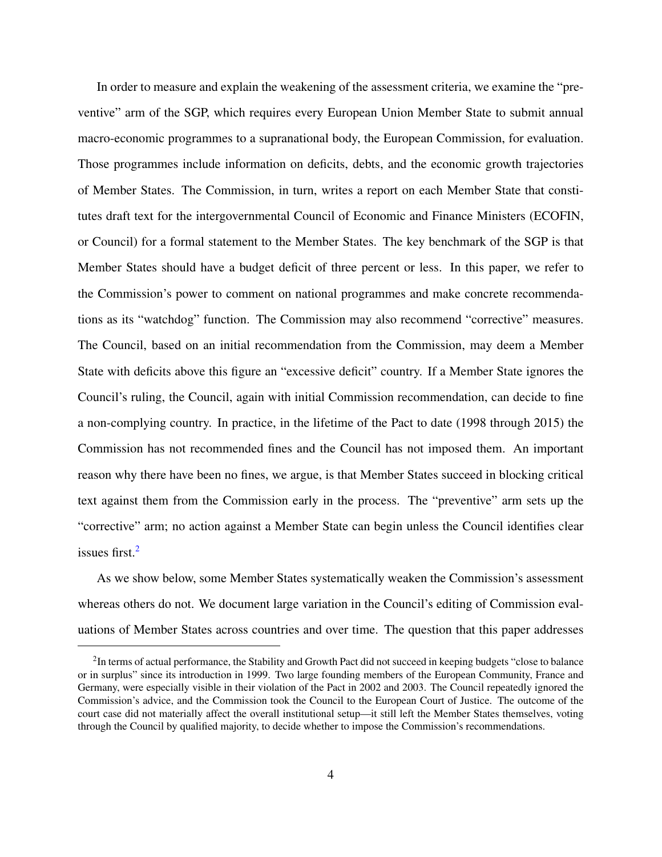In order to measure and explain the weakening of the assessment criteria, we examine the "preventive" arm of the SGP, which requires every European Union Member State to submit annual macro-economic programmes to a supranational body, the European Commission, for evaluation. Those programmes include information on deficits, debts, and the economic growth trajectories of Member States. The Commission, in turn, writes a report on each Member State that constitutes draft text for the intergovernmental Council of Economic and Finance Ministers (ECOFIN, or Council) for a formal statement to the Member States. The key benchmark of the SGP is that Member States should have a budget deficit of three percent or less. In this paper, we refer to the Commission's power to comment on national programmes and make concrete recommendations as its "watchdog" function. The Commission may also recommend "corrective" measures. The Council, based on an initial recommendation from the Commission, may deem a Member State with deficits above this figure an "excessive deficit" country. If a Member State ignores the Council's ruling, the Council, again with initial Commission recommendation, can decide to fine a non-complying country. In practice, in the lifetime of the Pact to date (1998 through 2015) the Commission has not recommended fines and the Council has not imposed them. An important reason why there have been no fines, we argue, is that Member States succeed in blocking critical text against them from the Commission early in the process. The "preventive" arm sets up the "corrective" arm; no action against a Member State can begin unless the Council identifies clear issues first.<sup>[2](#page-3-0)</sup>

As we show below, some Member States systematically weaken the Commission's assessment whereas others do not. We document large variation in the Council's editing of Commission evaluations of Member States across countries and over time. The question that this paper addresses

<span id="page-3-0"></span> $2$ In terms of actual performance, the Stability and Growth Pact did not succeed in keeping budgets "close to balance or in surplus" since its introduction in 1999. Two large founding members of the European Community, France and Germany, were especially visible in their violation of the Pact in 2002 and 2003. The Council repeatedly ignored the Commission's advice, and the Commission took the Council to the European Court of Justice. The outcome of the court case did not materially affect the overall institutional setup—it still left the Member States themselves, voting through the Council by qualified majority, to decide whether to impose the Commission's recommendations.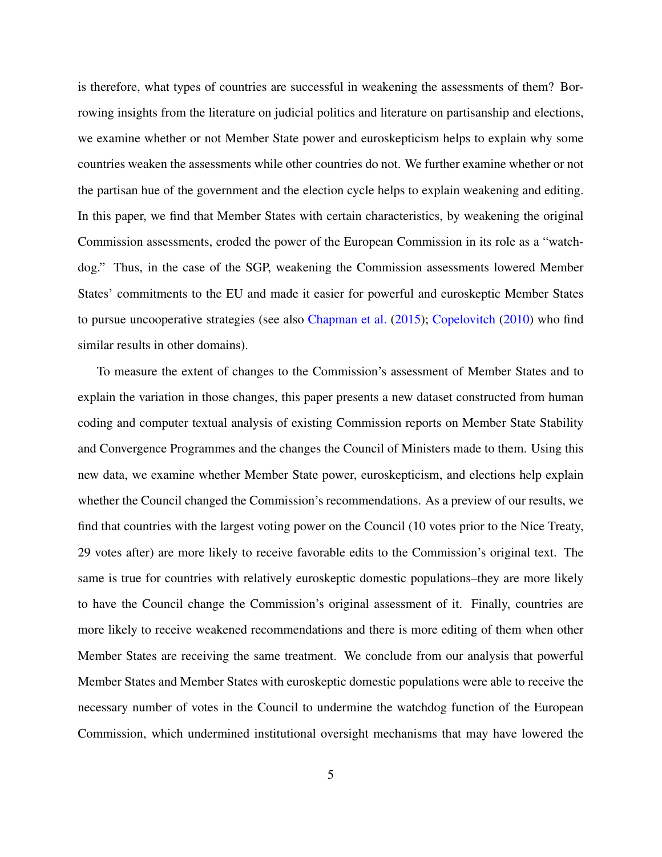is therefore, what types of countries are successful in weakening the assessments of them? Borrowing insights from the literature on judicial politics and literature on partisanship and elections, we examine whether or not Member State power and euroskepticism helps to explain why some countries weaken the assessments while other countries do not. We further examine whether or not the partisan hue of the government and the election cycle helps to explain weakening and editing. In this paper, we find that Member States with certain characteristics, by weakening the original Commission assessments, eroded the power of the European Commission in its role as a "watchdog." Thus, in the case of the SGP, weakening the Commission assessments lowered Member States' commitments to the EU and made it easier for powerful and euroskeptic Member States to pursue uncooperative strategies (see also [Chapman et al.](#page-49-1) [\(2015\)](#page-49-1); [Copelovitch](#page-49-2) [\(2010\)](#page-49-2) who find similar results in other domains).

To measure the extent of changes to the Commission's assessment of Member States and to explain the variation in those changes, this paper presents a new dataset constructed from human coding and computer textual analysis of existing Commission reports on Member State Stability and Convergence Programmes and the changes the Council of Ministers made to them. Using this new data, we examine whether Member State power, euroskepticism, and elections help explain whether the Council changed the Commission's recommendations. As a preview of our results, we find that countries with the largest voting power on the Council (10 votes prior to the Nice Treaty, 29 votes after) are more likely to receive favorable edits to the Commission's original text. The same is true for countries with relatively euroskeptic domestic populations–they are more likely to have the Council change the Commission's original assessment of it. Finally, countries are more likely to receive weakened recommendations and there is more editing of them when other Member States are receiving the same treatment. We conclude from our analysis that powerful Member States and Member States with euroskeptic domestic populations were able to receive the necessary number of votes in the Council to undermine the watchdog function of the European Commission, which undermined institutional oversight mechanisms that may have lowered the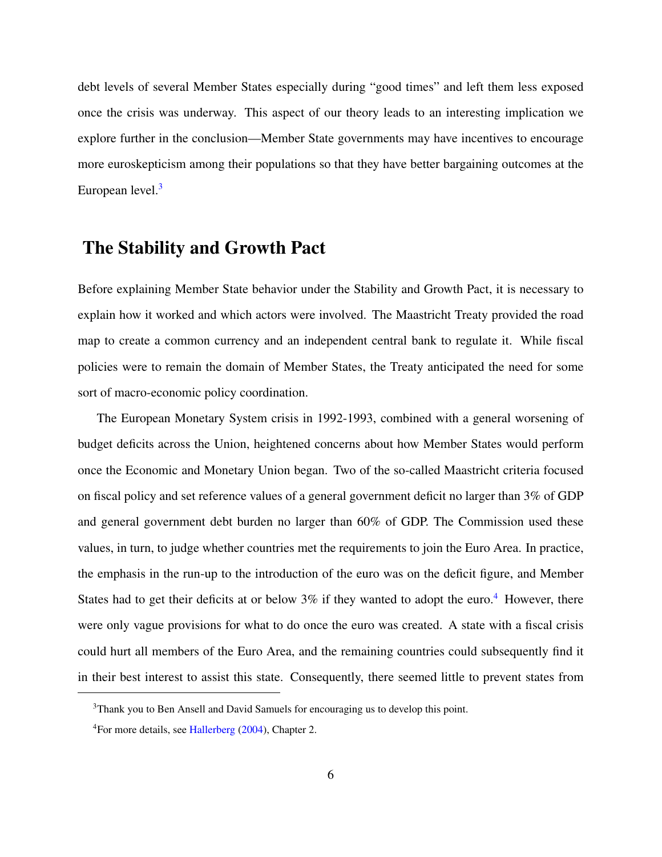debt levels of several Member States especially during "good times" and left them less exposed once the crisis was underway. This aspect of our theory leads to an interesting implication we explore further in the conclusion—Member State governments may have incentives to encourage more euroskepticism among their populations so that they have better bargaining outcomes at the European level.<sup>[3](#page-5-0)</sup>

### The Stability and Growth Pact

Before explaining Member State behavior under the Stability and Growth Pact, it is necessary to explain how it worked and which actors were involved. The Maastricht Treaty provided the road map to create a common currency and an independent central bank to regulate it. While fiscal policies were to remain the domain of Member States, the Treaty anticipated the need for some sort of macro-economic policy coordination.

The European Monetary System crisis in 1992-1993, combined with a general worsening of budget deficits across the Union, heightened concerns about how Member States would perform once the Economic and Monetary Union began. Two of the so-called Maastricht criteria focused on fiscal policy and set reference values of a general government deficit no larger than 3% of GDP and general government debt burden no larger than 60% of GDP. The Commission used these values, in turn, to judge whether countries met the requirements to join the Euro Area. In practice, the emphasis in the run-up to the introduction of the euro was on the deficit figure, and Member States had to get their deficits at or below  $3\%$  if they wanted to adopt the euro.<sup>[4](#page-5-1)</sup> However, there were only vague provisions for what to do once the euro was created. A state with a fiscal crisis could hurt all members of the Euro Area, and the remaining countries could subsequently find it in their best interest to assist this state. Consequently, there seemed little to prevent states from

<span id="page-5-0"></span><sup>&</sup>lt;sup>3</sup>Thank you to Ben Ansell and David Samuels for encouraging us to develop this point.

<span id="page-5-1"></span><sup>4</sup>For more details, see [Hallerberg](#page-50-1) [\(2004\)](#page-50-1), Chapter 2.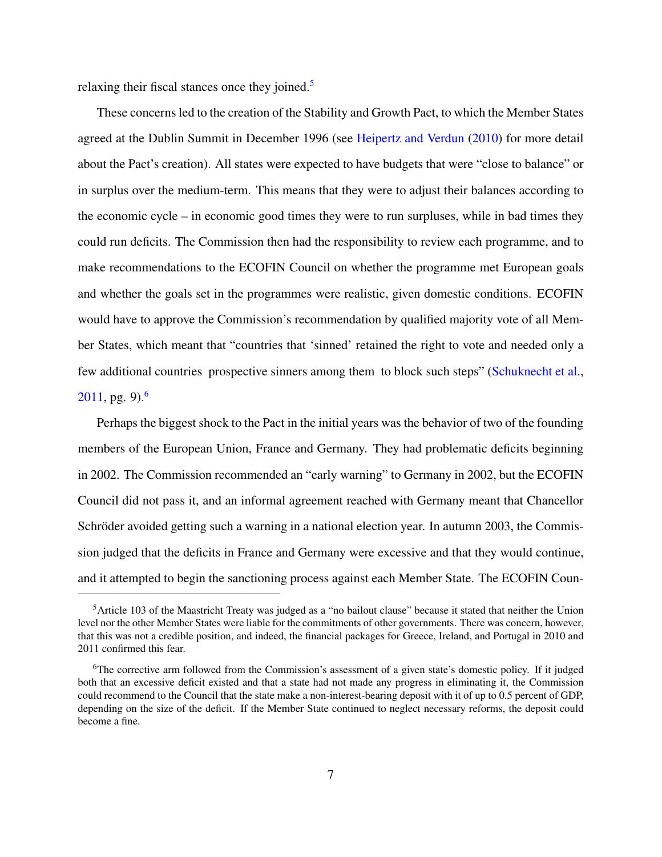relaxing their fiscal stances once they joined.<sup>[5](#page-6-0)</sup>

These concerns led to the creation of the Stability and Growth Pact, to which the Member States agreed at the Dublin Summit in December 1996 (see [Heipertz and Verdun](#page-51-3) [\(2010\)](#page-51-3) for more detail about the Pact's creation). All states were expected to have budgets that were "close to balance" or in surplus over the medium-term. This means that they were to adjust their balances according to the economic cycle – in economic good times they were to run surpluses, while in bad times they could run deficits. The Commission then had the responsibility to review each programme, and to make recommendations to the ECOFIN Council on whether the programme met European goals and whether the goals set in the programmes were realistic, given domestic conditions. ECOFIN would have to approve the Commission's recommendation by qualified majority vote of all Member States, which meant that "countries that 'sinned' retained the right to vote and needed only a few additional countries prospective sinners among them to block such steps" [\(Schuknecht et al.,](#page-52-2)  $2011$ , pg. 9).<sup>[6](#page-6-1)</sup>

Perhaps the biggest shock to the Pact in the initial years was the behavior of two of the founding members of the European Union, France and Germany. They had problematic deficits beginning in 2002. The Commission recommended an "early warning" to Germany in 2002, but the ECOFIN Council did not pass it, and an informal agreement reached with Germany meant that Chancellor Schröder avoided getting such a warning in a national election year. In autumn 2003, the Commission judged that the deficits in France and Germany were excessive and that they would continue, and it attempted to begin the sanctioning process against each Member State. The ECOFIN Coun-

<span id="page-6-0"></span><sup>5</sup>Article 103 of the Maastricht Treaty was judged as a "no bailout clause" because it stated that neither the Union level nor the other Member States were liable for the commitments of other governments. There was concern, however, that this was not a credible position, and indeed, the financial packages for Greece, Ireland, and Portugal in 2010 and 2011 confirmed this fear.

<span id="page-6-1"></span><sup>&</sup>lt;sup>6</sup>The corrective arm followed from the Commission's assessment of a given state's domestic policy. If it judged both that an excessive deficit existed and that a state had not made any progress in eliminating it, the Commission could recommend to the Council that the state make a non-interest-bearing deposit with it of up to 0.5 percent of GDP, depending on the size of the deficit. If the Member State continued to neglect necessary reforms, the deposit could become a fine.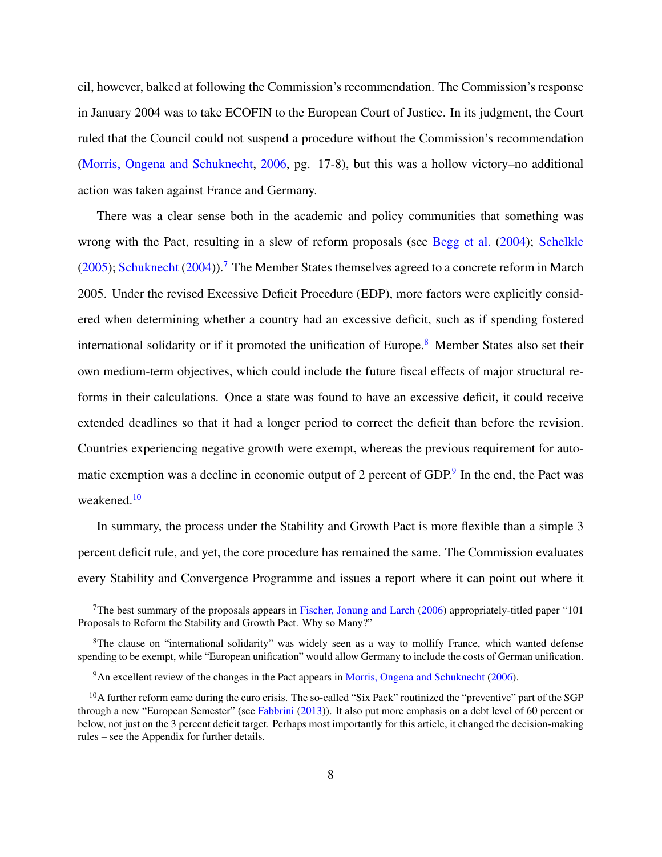cil, however, balked at following the Commission's recommendation. The Commission's response in January 2004 was to take ECOFIN to the European Court of Justice. In its judgment, the Court ruled that the Council could not suspend a procedure without the Commission's recommendation [\(Morris, Ongena and Schuknecht,](#page-51-6) [2006,](#page-51-6) pg. 17-8), but this was a hollow victory–no additional action was taken against France and Germany.

There was a clear sense both in the academic and policy communities that something was wrong with the Pact, resulting in a slew of reform proposals (see [Begg et al.](#page-49-3) [\(2004\)](#page-49-3); [Schelkle](#page-52-3) [\(2005\)](#page-52-3); [Schuknecht](#page-52-4) [\(2004\)](#page-52-4)).<sup>[7](#page-7-0)</sup> The Member States themselves agreed to a concrete reform in March 2005. Under the revised Excessive Deficit Procedure (EDP), more factors were explicitly considered when determining whether a country had an excessive deficit, such as if spending fostered international solidarity or if it promoted the unification of Europe.<sup>[8](#page-7-1)</sup> Member States also set their own medium-term objectives, which could include the future fiscal effects of major structural reforms in their calculations. Once a state was found to have an excessive deficit, it could receive extended deadlines so that it had a longer period to correct the deficit than before the revision. Countries experiencing negative growth were exempt, whereas the previous requirement for auto-matic exemption was a decline in economic output of 2 percent of GDP.<sup>[9](#page-7-2)</sup> In the end, the Pact was weakened.<sup>[10](#page-7-3)</sup>

In summary, the process under the Stability and Growth Pact is more flexible than a simple 3 percent deficit rule, and yet, the core procedure has remained the same. The Commission evaluates every Stability and Convergence Programme and issues a report where it can point out where it

<span id="page-7-0"></span><sup>&</sup>lt;sup>7</sup>The best summary of the proposals appears in [Fischer, Jonung and Larch](#page-50-2) [\(2006\)](#page-50-2) appropriately-titled paper "101 Proposals to Reform the Stability and Growth Pact. Why so Many?"

<span id="page-7-1"></span><sup>&</sup>lt;sup>8</sup>The clause on "international solidarity" was widely seen as a way to mollify France, which wanted defense spending to be exempt, while "European unification" would allow Germany to include the costs of German unification.

<span id="page-7-3"></span><span id="page-7-2"></span><sup>&</sup>lt;sup>9</sup>An excellent review of the changes in the Pact appears in [Morris, Ongena and Schuknecht](#page-51-6) [\(2006\)](#page-51-6).

<sup>&</sup>lt;sup>10</sup>A further reform came during the euro crisis. The so-called "Six Pack" routinized the "preventive" part of the SGP through a new "European Semester" (see [Fabbrini](#page-50-3) [\(2013\)](#page-50-3)). It also put more emphasis on a debt level of 60 percent or below, not just on the 3 percent deficit target. Perhaps most importantly for this article, it changed the decision-making rules – see the Appendix for further details.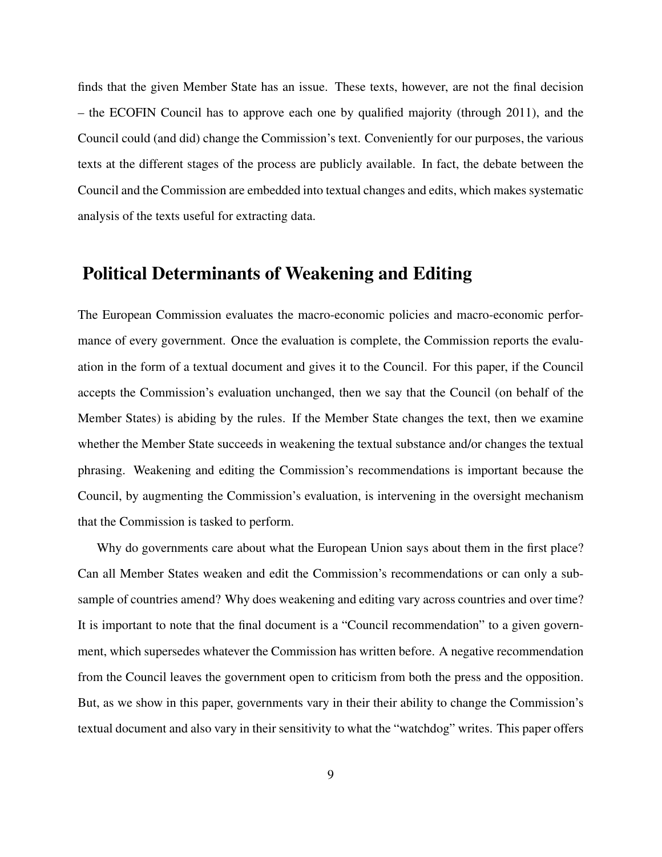finds that the given Member State has an issue. These texts, however, are not the final decision – the ECOFIN Council has to approve each one by qualified majority (through 2011), and the Council could (and did) change the Commission's text. Conveniently for our purposes, the various texts at the different stages of the process are publicly available. In fact, the debate between the Council and the Commission are embedded into textual changes and edits, which makes systematic analysis of the texts useful for extracting data.

### Political Determinants of Weakening and Editing

The European Commission evaluates the macro-economic policies and macro-economic performance of every government. Once the evaluation is complete, the Commission reports the evaluation in the form of a textual document and gives it to the Council. For this paper, if the Council accepts the Commission's evaluation unchanged, then we say that the Council (on behalf of the Member States) is abiding by the rules. If the Member State changes the text, then we examine whether the Member State succeeds in weakening the textual substance and/or changes the textual phrasing. Weakening and editing the Commission's recommendations is important because the Council, by augmenting the Commission's evaluation, is intervening in the oversight mechanism that the Commission is tasked to perform.

Why do governments care about what the European Union says about them in the first place? Can all Member States weaken and edit the Commission's recommendations or can only a subsample of countries amend? Why does weakening and editing vary across countries and over time? It is important to note that the final document is a "Council recommendation" to a given government, which supersedes whatever the Commission has written before. A negative recommendation from the Council leaves the government open to criticism from both the press and the opposition. But, as we show in this paper, governments vary in their their ability to change the Commission's textual document and also vary in their sensitivity to what the "watchdog" writes. This paper offers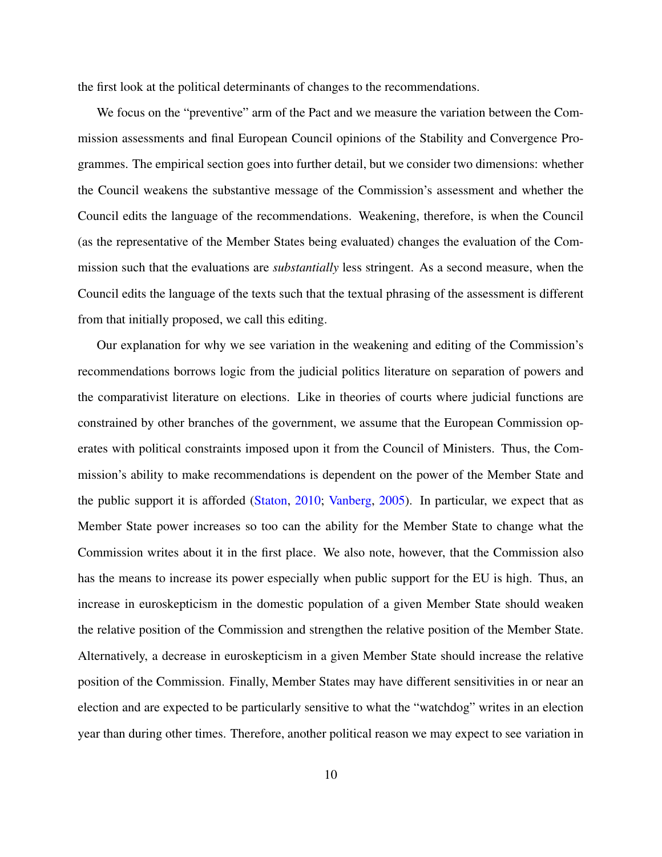the first look at the political determinants of changes to the recommendations.

We focus on the "preventive" arm of the Pact and we measure the variation between the Commission assessments and final European Council opinions of the Stability and Convergence Programmes. The empirical section goes into further detail, but we consider two dimensions: whether the Council weakens the substantive message of the Commission's assessment and whether the Council edits the language of the recommendations. Weakening, therefore, is when the Council (as the representative of the Member States being evaluated) changes the evaluation of the Commission such that the evaluations are *substantially* less stringent. As a second measure, when the Council edits the language of the texts such that the textual phrasing of the assessment is different from that initially proposed, we call this editing.

Our explanation for why we see variation in the weakening and editing of the Commission's recommendations borrows logic from the judicial politics literature on separation of powers and the comparativist literature on elections. Like in theories of courts where judicial functions are constrained by other branches of the government, we assume that the European Commission operates with political constraints imposed upon it from the Council of Ministers. Thus, the Commission's ability to make recommendations is dependent on the power of the Member State and the public support it is afforded [\(Staton,](#page-52-5) [2010;](#page-52-5) [Vanberg,](#page-53-1) [2005\)](#page-53-1). In particular, we expect that as Member State power increases so too can the ability for the Member State to change what the Commission writes about it in the first place. We also note, however, that the Commission also has the means to increase its power especially when public support for the EU is high. Thus, an increase in euroskepticism in the domestic population of a given Member State should weaken the relative position of the Commission and strengthen the relative position of the Member State. Alternatively, a decrease in euroskepticism in a given Member State should increase the relative position of the Commission. Finally, Member States may have different sensitivities in or near an election and are expected to be particularly sensitive to what the "watchdog" writes in an election year than during other times. Therefore, another political reason we may expect to see variation in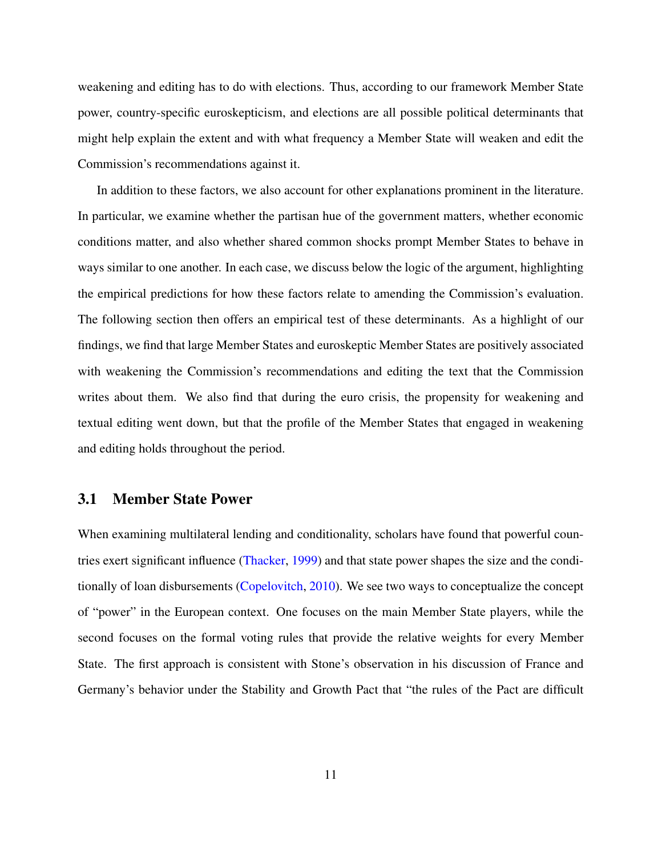weakening and editing has to do with elections. Thus, according to our framework Member State power, country-specific euroskepticism, and elections are all possible political determinants that might help explain the extent and with what frequency a Member State will weaken and edit the Commission's recommendations against it.

In addition to these factors, we also account for other explanations prominent in the literature. In particular, we examine whether the partisan hue of the government matters, whether economic conditions matter, and also whether shared common shocks prompt Member States to behave in ways similar to one another. In each case, we discuss below the logic of the argument, highlighting the empirical predictions for how these factors relate to amending the Commission's evaluation. The following section then offers an empirical test of these determinants. As a highlight of our findings, we find that large Member States and euroskeptic Member States are positively associated with weakening the Commission's recommendations and editing the text that the Commission writes about them. We also find that during the euro crisis, the propensity for weakening and textual editing went down, but that the profile of the Member States that engaged in weakening and editing holds throughout the period.

#### 3.1 Member State Power

When examining multilateral lending and conditionality, scholars have found that powerful countries exert significant influence [\(Thacker,](#page-52-6) [1999\)](#page-52-6) and that state power shapes the size and the conditionally of loan disbursements [\(Copelovitch,](#page-49-2) [2010\)](#page-49-2). We see two ways to conceptualize the concept of "power" in the European context. One focuses on the main Member State players, while the second focuses on the formal voting rules that provide the relative weights for every Member State. The first approach is consistent with Stone's observation in his discussion of France and Germany's behavior under the Stability and Growth Pact that "the rules of the Pact are difficult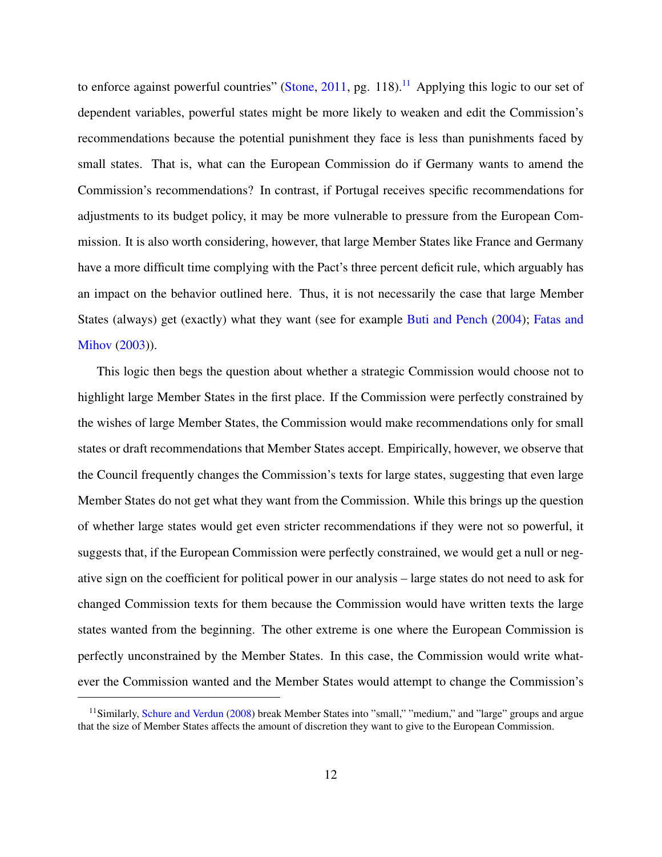to enforce against powerful countries" [\(Stone,](#page-52-7) [2011,](#page-52-7) pg. [11](#page-11-0)8).<sup>11</sup> Applying this logic to our set of dependent variables, powerful states might be more likely to weaken and edit the Commission's recommendations because the potential punishment they face is less than punishments faced by small states. That is, what can the European Commission do if Germany wants to amend the Commission's recommendations? In contrast, if Portugal receives specific recommendations for adjustments to its budget policy, it may be more vulnerable to pressure from the European Commission. It is also worth considering, however, that large Member States like France and Germany have a more difficult time complying with the Pact's three percent deficit rule, which arguably has an impact on the behavior outlined here. Thus, it is not necessarily the case that large Member States (always) get (exactly) what they want (see for example [Buti and Pench](#page-49-4) [\(2004\)](#page-49-4); [Fatas and](#page-50-4) [Mihov](#page-50-4) [\(2003\)](#page-50-4)).

This logic then begs the question about whether a strategic Commission would choose not to highlight large Member States in the first place. If the Commission were perfectly constrained by the wishes of large Member States, the Commission would make recommendations only for small states or draft recommendations that Member States accept. Empirically, however, we observe that the Council frequently changes the Commission's texts for large states, suggesting that even large Member States do not get what they want from the Commission. While this brings up the question of whether large states would get even stricter recommendations if they were not so powerful, it suggests that, if the European Commission were perfectly constrained, we would get a null or negative sign on the coefficient for political power in our analysis – large states do not need to ask for changed Commission texts for them because the Commission would have written texts the large states wanted from the beginning. The other extreme is one where the European Commission is perfectly unconstrained by the Member States. In this case, the Commission would write whatever the Commission wanted and the Member States would attempt to change the Commission's

<span id="page-11-0"></span><sup>&</sup>lt;sup>11</sup>Similarly, [Schure and Verdun](#page-52-8) [\(2008\)](#page-52-8) break Member States into "small," "medium," and "large" groups and argue that the size of Member States affects the amount of discretion they want to give to the European Commission.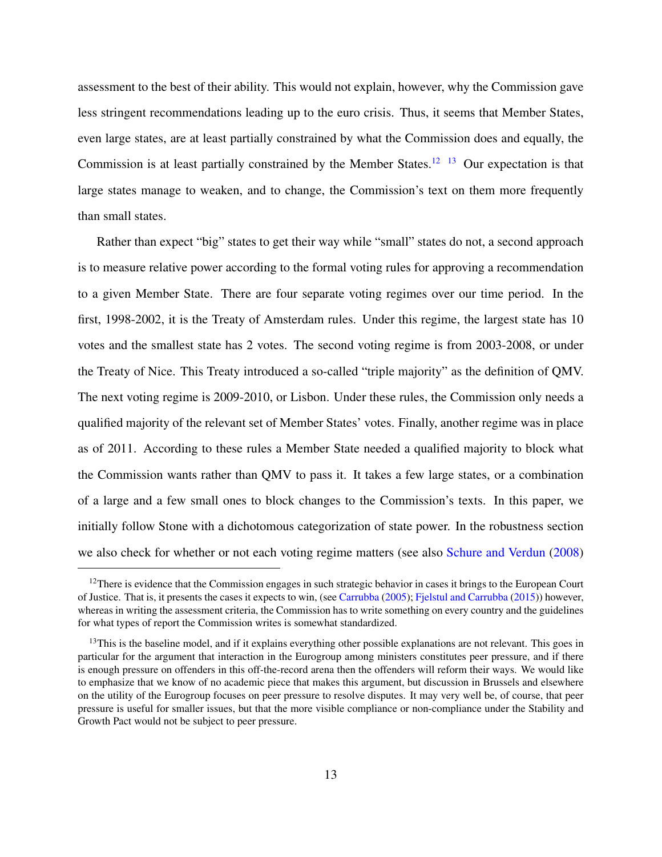assessment to the best of their ability. This would not explain, however, why the Commission gave less stringent recommendations leading up to the euro crisis. Thus, it seems that Member States, even large states, are at least partially constrained by what the Commission does and equally, the Commission is at least partially constrained by the Member States.<sup>[12](#page-12-0)</sup> <sup>[13](#page-12-1)</sup> Our expectation is that large states manage to weaken, and to change, the Commission's text on them more frequently than small states.

Rather than expect "big" states to get their way while "small" states do not, a second approach is to measure relative power according to the formal voting rules for approving a recommendation to a given Member State. There are four separate voting regimes over our time period. In the first, 1998-2002, it is the Treaty of Amsterdam rules. Under this regime, the largest state has 10 votes and the smallest state has 2 votes. The second voting regime is from 2003-2008, or under the Treaty of Nice. This Treaty introduced a so-called "triple majority" as the definition of QMV. The next voting regime is 2009-2010, or Lisbon. Under these rules, the Commission only needs a qualified majority of the relevant set of Member States' votes. Finally, another regime was in place as of 2011. According to these rules a Member State needed a qualified majority to block what the Commission wants rather than QMV to pass it. It takes a few large states, or a combination of a large and a few small ones to block changes to the Commission's texts. In this paper, we initially follow Stone with a dichotomous categorization of state power. In the robustness section we also check for whether or not each voting regime matters (see also [Schure and Verdun](#page-52-8) [\(2008\)](#page-52-8)

<span id="page-12-0"></span><sup>&</sup>lt;sup>12</sup>There is evidence that the Commission engages in such strategic behavior in cases it brings to the European Court of Justice. That is, it presents the cases it expects to win, (see [Carrubba](#page-49-5) [\(2005\)](#page-49-5); [Fjelstul and Carrubba](#page-50-5) [\(2015\)](#page-50-5)) however, whereas in writing the assessment criteria, the Commission has to write something on every country and the guidelines for what types of report the Commission writes is somewhat standardized.

<span id="page-12-1"></span> $13$ This is the baseline model, and if it explains everything other possible explanations are not relevant. This goes in particular for the argument that interaction in the Eurogroup among ministers constitutes peer pressure, and if there is enough pressure on offenders in this off-the-record arena then the offenders will reform their ways. We would like to emphasize that we know of no academic piece that makes this argument, but discussion in Brussels and elsewhere on the utility of the Eurogroup focuses on peer pressure to resolve disputes. It may very well be, of course, that peer pressure is useful for smaller issues, but that the more visible compliance or non-compliance under the Stability and Growth Pact would not be subject to peer pressure.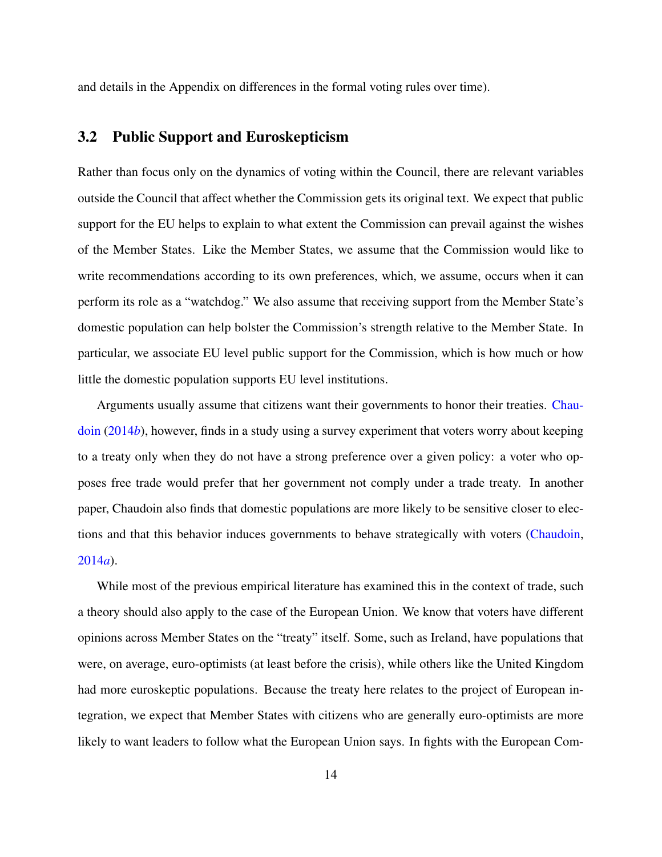and details in the Appendix on differences in the formal voting rules over time).

### 3.2 Public Support and Euroskepticism

Rather than focus only on the dynamics of voting within the Council, there are relevant variables outside the Council that affect whether the Commission gets its original text. We expect that public support for the EU helps to explain to what extent the Commission can prevail against the wishes of the Member States. Like the Member States, we assume that the Commission would like to write recommendations according to its own preferences, which, we assume, occurs when it can perform its role as a "watchdog." We also assume that receiving support from the Member State's domestic population can help bolster the Commission's strength relative to the Member State. In particular, we associate EU level public support for the Commission, which is how much or how little the domestic population supports EU level institutions.

Arguments usually assume that citizens want their governments to honor their treaties. [Chau](#page-49-6)[doin](#page-49-6) [\(2014](#page-49-6)*b*), however, finds in a study using a survey experiment that voters worry about keeping to a treaty only when they do not have a strong preference over a given policy: a voter who opposes free trade would prefer that her government not comply under a trade treaty. In another paper, Chaudoin also finds that domestic populations are more likely to be sensitive closer to elections and that this behavior induces governments to behave strategically with voters [\(Chaudoin,](#page-49-7) [2014](#page-49-7)*a*).

While most of the previous empirical literature has examined this in the context of trade, such a theory should also apply to the case of the European Union. We know that voters have different opinions across Member States on the "treaty" itself. Some, such as Ireland, have populations that were, on average, euro-optimists (at least before the crisis), while others like the United Kingdom had more euroskeptic populations. Because the treaty here relates to the project of European integration, we expect that Member States with citizens who are generally euro-optimists are more likely to want leaders to follow what the European Union says. In fights with the European Com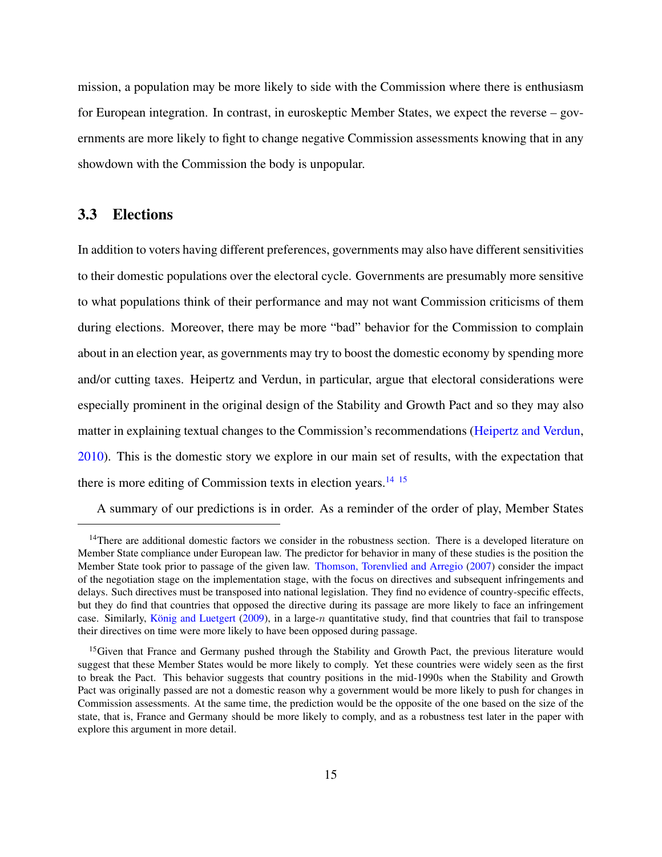mission, a population may be more likely to side with the Commission where there is enthusiasm for European integration. In contrast, in euroskeptic Member States, we expect the reverse – governments are more likely to fight to change negative Commission assessments knowing that in any showdown with the Commission the body is unpopular.

### 3.3 Elections

In addition to voters having different preferences, governments may also have different sensitivities to their domestic populations over the electoral cycle. Governments are presumably more sensitive to what populations think of their performance and may not want Commission criticisms of them during elections. Moreover, there may be more "bad" behavior for the Commission to complain about in an election year, as governments may try to boost the domestic economy by spending more and/or cutting taxes. Heipertz and Verdun, in particular, argue that electoral considerations were especially prominent in the original design of the Stability and Growth Pact and so they may also matter in explaining textual changes to the Commission's recommendations [\(Heipertz and Verdun,](#page-51-3) [2010\)](#page-51-3). This is the domestic story we explore in our main set of results, with the expectation that there is more editing of Commission texts in election years.<sup>[14](#page-14-0) [15](#page-14-1)</sup>

A summary of our predictions is in order. As a reminder of the order of play, Member States

<span id="page-14-0"></span> $14$ There are additional domestic factors we consider in the robustness section. There is a developed literature on Member State compliance under European law. The predictor for behavior in many of these studies is the position the Member State took prior to passage of the given law. [Thomson, Torenvlied and Arregio](#page-52-9) [\(2007\)](#page-52-9) consider the impact of the negotiation stage on the implementation stage, with the focus on directives and subsequent infringements and delays. Such directives must be transposed into national legislation. They find no evidence of country-specific effects, but they do find that countries that opposed the directive during its passage are more likely to face an infringement case. Similarly, König and Luetgert  $(2009)$ , in a large-n quantitative study, find that countries that fail to transpose their directives on time were more likely to have been opposed during passage.

<span id="page-14-1"></span><sup>&</sup>lt;sup>15</sup>Given that France and Germany pushed through the Stability and Growth Pact, the previous literature would suggest that these Member States would be more likely to comply. Yet these countries were widely seen as the first to break the Pact. This behavior suggests that country positions in the mid-1990s when the Stability and Growth Pact was originally passed are not a domestic reason why a government would be more likely to push for changes in Commission assessments. At the same time, the prediction would be the opposite of the one based on the size of the state, that is, France and Germany should be more likely to comply, and as a robustness test later in the paper with explore this argument in more detail.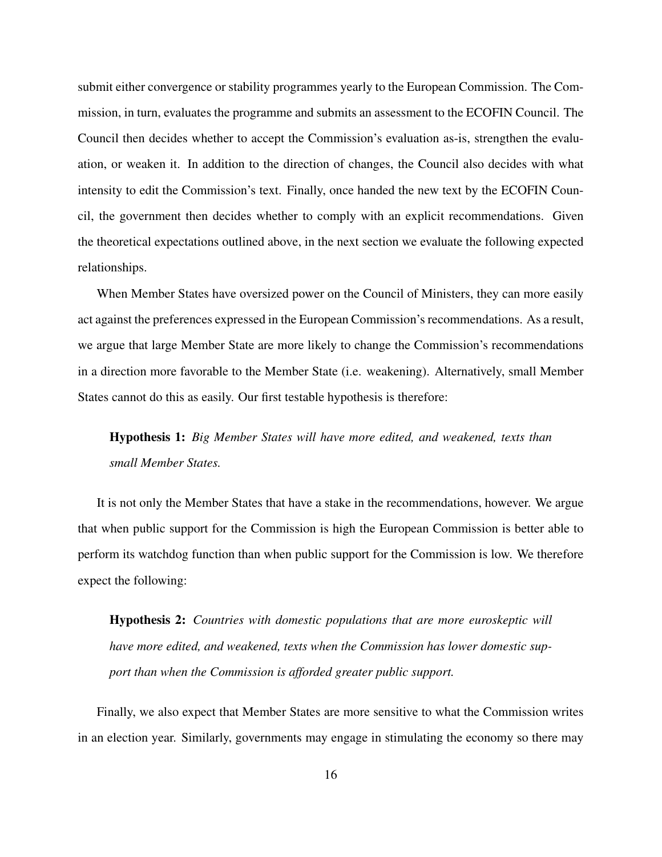submit either convergence or stability programmes yearly to the European Commission. The Commission, in turn, evaluates the programme and submits an assessment to the ECOFIN Council. The Council then decides whether to accept the Commission's evaluation as-is, strengthen the evaluation, or weaken it. In addition to the direction of changes, the Council also decides with what intensity to edit the Commission's text. Finally, once handed the new text by the ECOFIN Council, the government then decides whether to comply with an explicit recommendations. Given the theoretical expectations outlined above, in the next section we evaluate the following expected relationships.

When Member States have oversized power on the Council of Ministers, they can more easily act against the preferences expressed in the European Commission's recommendations. As a result, we argue that large Member State are more likely to change the Commission's recommendations in a direction more favorable to the Member State (i.e. weakening). Alternatively, small Member States cannot do this as easily. Our first testable hypothesis is therefore:

## Hypothesis 1: *Big Member States will have more edited, and weakened, texts than small Member States.*

It is not only the Member States that have a stake in the recommendations, however. We argue that when public support for the Commission is high the European Commission is better able to perform its watchdog function than when public support for the Commission is low. We therefore expect the following:

Hypothesis 2: *Countries with domestic populations that are more euroskeptic will have more edited, and weakened, texts when the Commission has lower domestic support than when the Commission is afforded greater public support.*

Finally, we also expect that Member States are more sensitive to what the Commission writes in an election year. Similarly, governments may engage in stimulating the economy so there may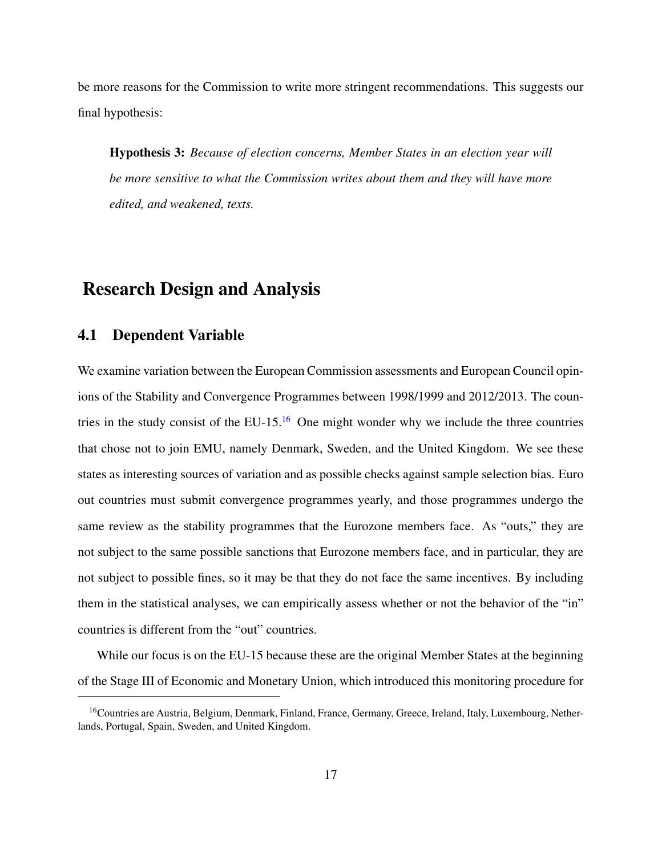be more reasons for the Commission to write more stringent recommendations. This suggests our final hypothesis:

Hypothesis 3: *Because of election concerns, Member States in an election year will be more sensitive to what the Commission writes about them and they will have more edited, and weakened, texts.*

### Research Design and Analysis

#### 4.1 Dependent Variable

We examine variation between the European Commission assessments and European Council opinions of the Stability and Convergence Programmes between 1998/1999 and 2012/2013. The coun-tries in the study consist of the EU-15.<sup>[16](#page-16-0)</sup> One might wonder why we include the three countries that chose not to join EMU, namely Denmark, Sweden, and the United Kingdom. We see these states as interesting sources of variation and as possible checks against sample selection bias. Euro out countries must submit convergence programmes yearly, and those programmes undergo the same review as the stability programmes that the Eurozone members face. As "outs," they are not subject to the same possible sanctions that Eurozone members face, and in particular, they are not subject to possible fines, so it may be that they do not face the same incentives. By including them in the statistical analyses, we can empirically assess whether or not the behavior of the "in" countries is different from the "out" countries.

While our focus is on the EU-15 because these are the original Member States at the beginning of the Stage III of Economic and Monetary Union, which introduced this monitoring procedure for

<span id="page-16-0"></span><sup>&</sup>lt;sup>16</sup>Countries are Austria, Belgium, Denmark, Finland, France, Germany, Greece, Ireland, Italy, Luxembourg, Netherlands, Portugal, Spain, Sweden, and United Kingdom.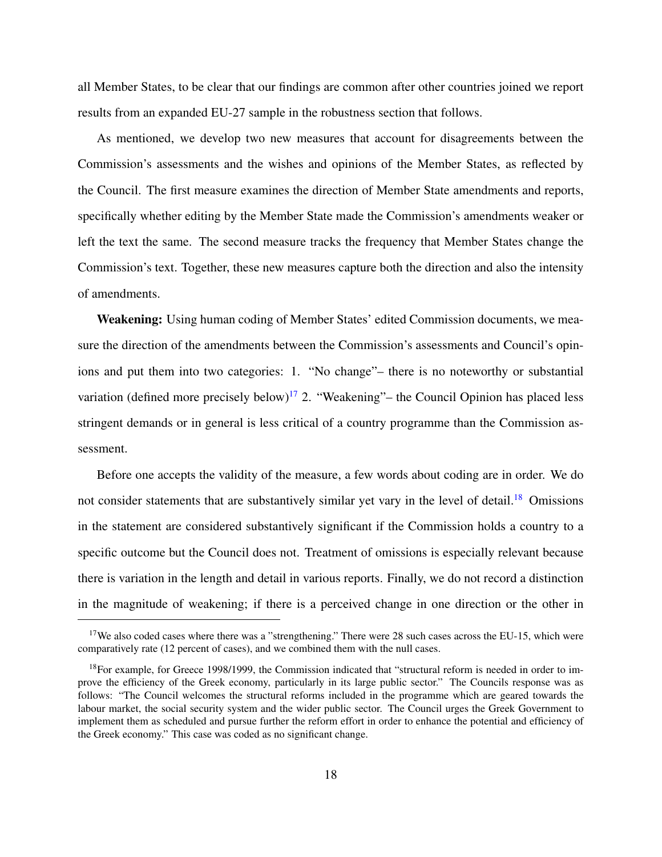all Member States, to be clear that our findings are common after other countries joined we report results from an expanded EU-27 sample in the robustness section that follows.

As mentioned, we develop two new measures that account for disagreements between the Commission's assessments and the wishes and opinions of the Member States, as reflected by the Council. The first measure examines the direction of Member State amendments and reports, specifically whether editing by the Member State made the Commission's amendments weaker or left the text the same. The second measure tracks the frequency that Member States change the Commission's text. Together, these new measures capture both the direction and also the intensity of amendments.

Weakening: Using human coding of Member States' edited Commission documents, we measure the direction of the amendments between the Commission's assessments and Council's opinions and put them into two categories: 1. "No change"– there is no noteworthy or substantial variation (defined more precisely below)<sup>[17](#page-17-0)</sup> 2. "Weakening"– the Council Opinion has placed less stringent demands or in general is less critical of a country programme than the Commission assessment.

Before one accepts the validity of the measure, a few words about coding are in order. We do not consider statements that are substantively similar yet vary in the level of detail.<sup>[18](#page-17-1)</sup> Omissions in the statement are considered substantively significant if the Commission holds a country to a specific outcome but the Council does not. Treatment of omissions is especially relevant because there is variation in the length and detail in various reports. Finally, we do not record a distinction in the magnitude of weakening; if there is a perceived change in one direction or the other in

<span id="page-17-0"></span><sup>&</sup>lt;sup>17</sup>We also coded cases where there was a "strengthening." There were 28 such cases across the EU-15, which were comparatively rate (12 percent of cases), and we combined them with the null cases.

<span id="page-17-1"></span><sup>&</sup>lt;sup>18</sup>For example, for Greece 1998/1999, the Commission indicated that "structural reform is needed in order to improve the efficiency of the Greek economy, particularly in its large public sector." The Councils response was as follows: "The Council welcomes the structural reforms included in the programme which are geared towards the labour market, the social security system and the wider public sector. The Council urges the Greek Government to implement them as scheduled and pursue further the reform effort in order to enhance the potential and efficiency of the Greek economy." This case was coded as no significant change.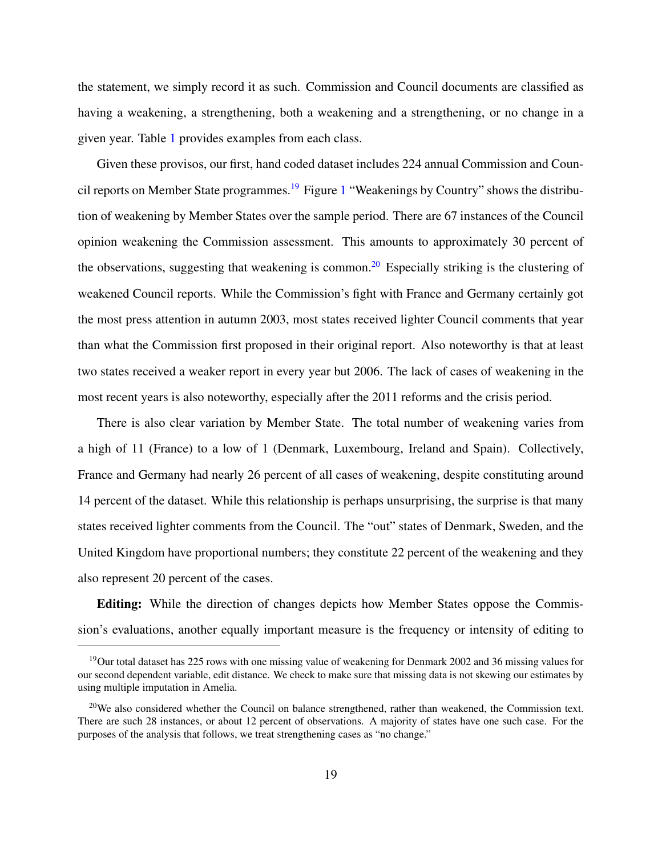the statement, we simply record it as such. Commission and Council documents are classified as having a weakening, a strengthening, both a weakening and a strengthening, or no change in a given year. Table [1](#page-35-0) provides examples from each class.

Given these provisos, our first, hand coded dataset includes 224 annual Commission and Coun-cil reports on Member State programmes.<sup>[19](#page-18-0)</sup> Figure [1](#page-36-0) "Weakenings by Country" shows the distribution of weakening by Member States over the sample period. There are 67 instances of the Council opinion weakening the Commission assessment. This amounts to approximately 30 percent of the observations, suggesting that weakening is common.<sup>[20](#page-18-1)</sup> Especially striking is the clustering of weakened Council reports. While the Commission's fight with France and Germany certainly got the most press attention in autumn 2003, most states received lighter Council comments that year than what the Commission first proposed in their original report. Also noteworthy is that at least two states received a weaker report in every year but 2006. The lack of cases of weakening in the most recent years is also noteworthy, especially after the 2011 reforms and the crisis period.

There is also clear variation by Member State. The total number of weakening varies from a high of 11 (France) to a low of 1 (Denmark, Luxembourg, Ireland and Spain). Collectively, France and Germany had nearly 26 percent of all cases of weakening, despite constituting around 14 percent of the dataset. While this relationship is perhaps unsurprising, the surprise is that many states received lighter comments from the Council. The "out" states of Denmark, Sweden, and the United Kingdom have proportional numbers; they constitute 22 percent of the weakening and they also represent 20 percent of the cases.

Editing: While the direction of changes depicts how Member States oppose the Commission's evaluations, another equally important measure is the frequency or intensity of editing to

<span id="page-18-0"></span><sup>&</sup>lt;sup>19</sup>Our total dataset has 225 rows with one missing value of weakening for Denmark 2002 and 36 missing values for our second dependent variable, edit distance. We check to make sure that missing data is not skewing our estimates by using multiple imputation in Amelia.

<span id="page-18-1"></span> $20$ We also considered whether the Council on balance strengthened, rather than weakened, the Commission text. There are such 28 instances, or about 12 percent of observations. A majority of states have one such case. For the purposes of the analysis that follows, we treat strengthening cases as "no change."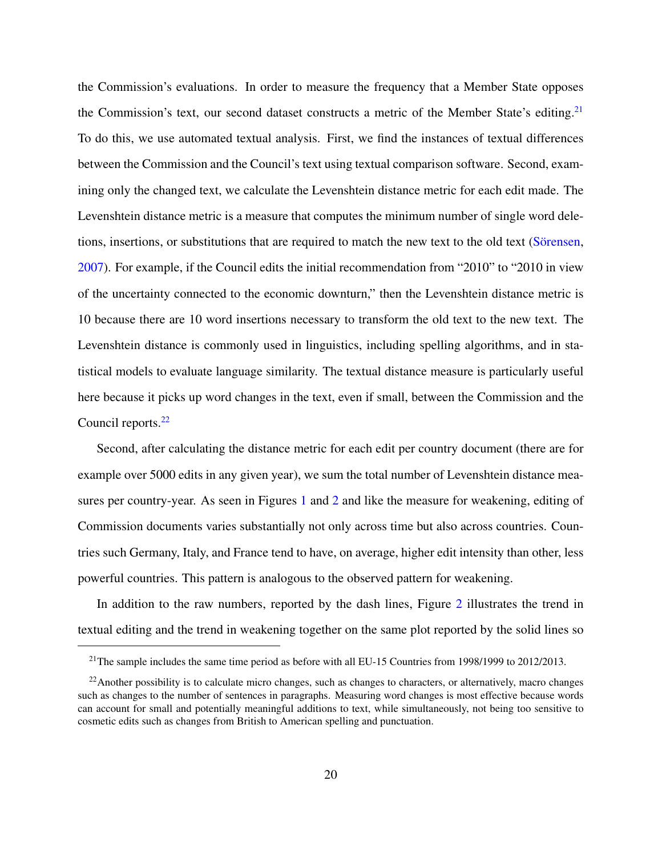the Commission's evaluations. In order to measure the frequency that a Member State opposes the Commission's text, our second dataset constructs a metric of the Member State's editing.<sup>[21](#page-19-0)</sup> To do this, we use automated textual analysis. First, we find the instances of textual differences between the Commission and the Council's text using textual comparison software. Second, examining only the changed text, we calculate the Levenshtein distance metric for each edit made. The Levenshtein distance metric is a measure that computes the minimum number of single word deletions, insertions, or substitutions that are required to match the new text to the old text (Sörensen, [2007\)](#page-52-10). For example, if the Council edits the initial recommendation from "2010" to "2010 in view of the uncertainty connected to the economic downturn," then the Levenshtein distance metric is 10 because there are 10 word insertions necessary to transform the old text to the new text. The Levenshtein distance is commonly used in linguistics, including spelling algorithms, and in statistical models to evaluate language similarity. The textual distance measure is particularly useful here because it picks up word changes in the text, even if small, between the Commission and the Council reports.<sup>[22](#page-19-1)</sup>

Second, after calculating the distance metric for each edit per country document (there are for example over 5000 edits in any given year), we sum the total number of Levenshtein distance measures per country-year. As seen in Figures [1](#page-36-0) and [2](#page-36-1) and like the measure for weakening, editing of Commission documents varies substantially not only across time but also across countries. Countries such Germany, Italy, and France tend to have, on average, higher edit intensity than other, less powerful countries. This pattern is analogous to the observed pattern for weakening.

In addition to the raw numbers, reported by the dash lines, Figure [2](#page-36-1) illustrates the trend in textual editing and the trend in weakening together on the same plot reported by the solid lines so

<span id="page-19-1"></span><span id="page-19-0"></span><sup>&</sup>lt;sup>21</sup>The sample includes the same time period as before with all EU-15 Countries from 1998/1999 to 2012/2013.

 $^{22}$ Another possibility is to calculate micro changes, such as changes to characters, or alternatively, macro changes such as changes to the number of sentences in paragraphs. Measuring word changes is most effective because words can account for small and potentially meaningful additions to text, while simultaneously, not being too sensitive to cosmetic edits such as changes from British to American spelling and punctuation.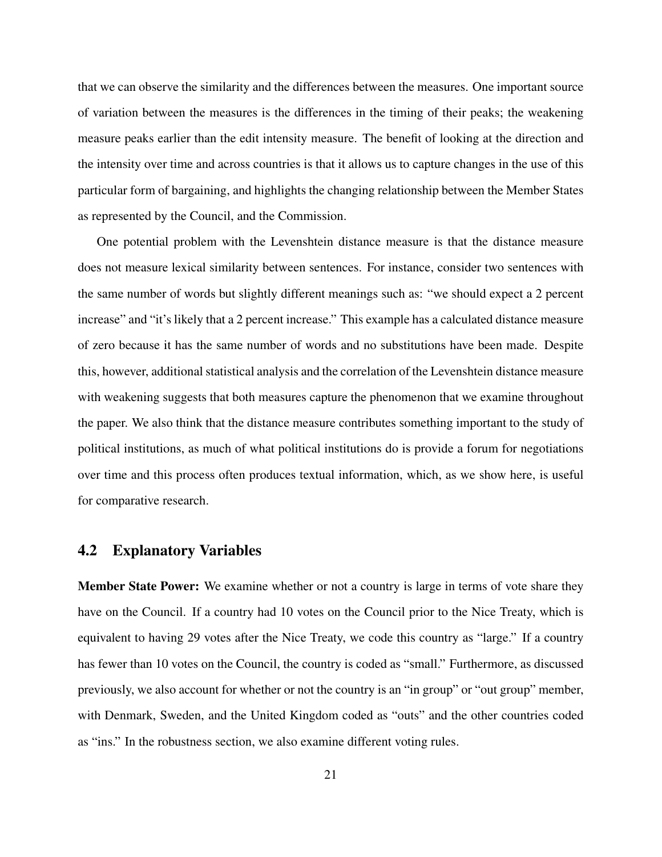that we can observe the similarity and the differences between the measures. One important source of variation between the measures is the differences in the timing of their peaks; the weakening measure peaks earlier than the edit intensity measure. The benefit of looking at the direction and the intensity over time and across countries is that it allows us to capture changes in the use of this particular form of bargaining, and highlights the changing relationship between the Member States as represented by the Council, and the Commission.

One potential problem with the Levenshtein distance measure is that the distance measure does not measure lexical similarity between sentences. For instance, consider two sentences with the same number of words but slightly different meanings such as: "we should expect a 2 percent increase" and "it's likely that a 2 percent increase." This example has a calculated distance measure of zero because it has the same number of words and no substitutions have been made. Despite this, however, additional statistical analysis and the correlation of the Levenshtein distance measure with weakening suggests that both measures capture the phenomenon that we examine throughout the paper. We also think that the distance measure contributes something important to the study of political institutions, as much of what political institutions do is provide a forum for negotiations over time and this process often produces textual information, which, as we show here, is useful for comparative research.

#### 4.2 Explanatory Variables

Member State Power: We examine whether or not a country is large in terms of vote share they have on the Council. If a country had 10 votes on the Council prior to the Nice Treaty, which is equivalent to having 29 votes after the Nice Treaty, we code this country as "large." If a country has fewer than 10 votes on the Council, the country is coded as "small." Furthermore, as discussed previously, we also account for whether or not the country is an "in group" or "out group" member, with Denmark, Sweden, and the United Kingdom coded as "outs" and the other countries coded as "ins." In the robustness section, we also examine different voting rules.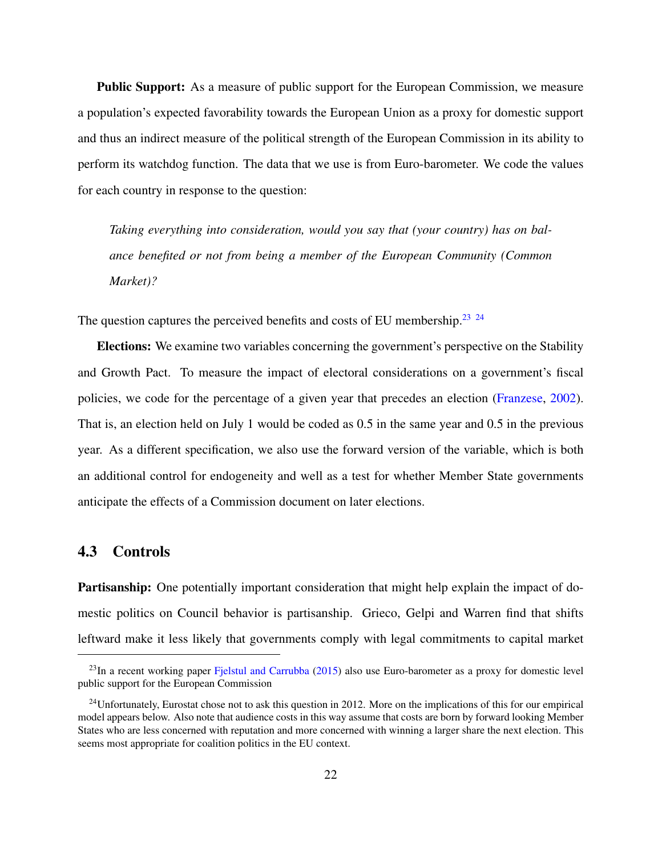**Public Support:** As a measure of public support for the European Commission, we measure a population's expected favorability towards the European Union as a proxy for domestic support and thus an indirect measure of the political strength of the European Commission in its ability to perform its watchdog function. The data that we use is from Euro-barometer. We code the values for each country in response to the question:

*Taking everything into consideration, would you say that (your country) has on balance benefited or not from being a member of the European Community (Common Market)?*

The question captures the perceived benefits and costs of EU membership.<sup>[23](#page-21-0)</sup> <sup>[24](#page-21-1)</sup>

Elections: We examine two variables concerning the government's perspective on the Stability and Growth Pact. To measure the impact of electoral considerations on a government's fiscal policies, we code for the percentage of a given year that precedes an election [\(Franzese,](#page-50-6) [2002\)](#page-50-6). That is, an election held on July 1 would be coded as 0.5 in the same year and 0.5 in the previous year. As a different specification, we also use the forward version of the variable, which is both an additional control for endogeneity and well as a test for whether Member State governments anticipate the effects of a Commission document on later elections.

#### 4.3 Controls

**Partisanship:** One potentially important consideration that might help explain the impact of domestic politics on Council behavior is partisanship. Grieco, Gelpi and Warren find that shifts leftward make it less likely that governments comply with legal commitments to capital market

<span id="page-21-0"></span><sup>&</sup>lt;sup>23</sup>In a recent working paper [Fjelstul and Carrubba](#page-50-5) [\(2015\)](#page-50-5) also use Euro-barometer as a proxy for domestic level public support for the European Commission

<span id="page-21-1"></span> $^{24}$ Unfortunately, Eurostat chose not to ask this question in 2012. More on the implications of this for our empirical model appears below. Also note that audience costs in this way assume that costs are born by forward looking Member States who are less concerned with reputation and more concerned with winning a larger share the next election. This seems most appropriate for coalition politics in the EU context.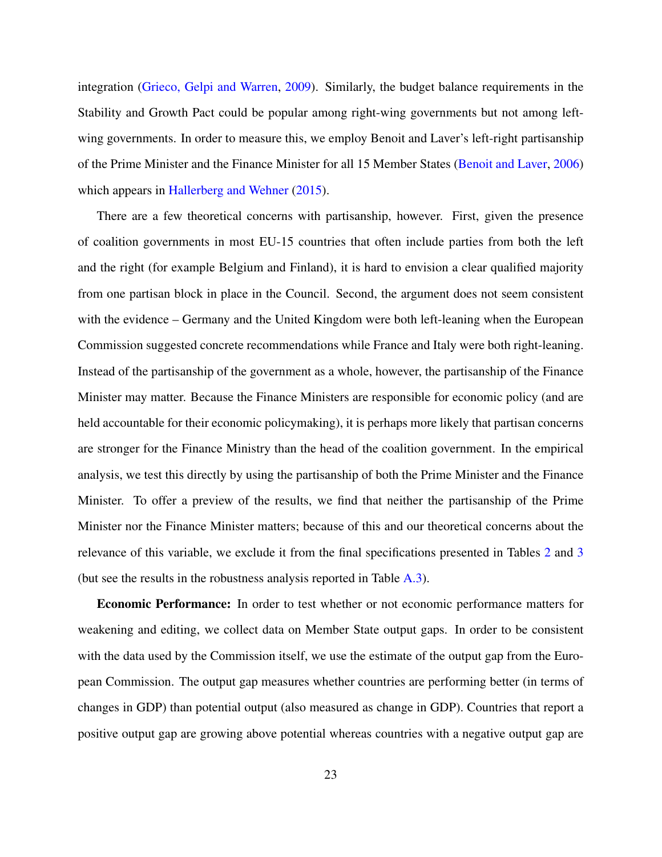integration [\(Grieco, Gelpi and Warren,](#page-50-7) [2009\)](#page-50-7). Similarly, the budget balance requirements in the Stability and Growth Pact could be popular among right-wing governments but not among leftwing governments. In order to measure this, we employ Benoit and Laver's left-right partisanship of the Prime Minister and the Finance Minister for all 15 Member States [\(Benoit and Laver,](#page-49-8) [2006\)](#page-49-8) which appears in [Hallerberg and Wehner](#page-50-8) [\(2015\)](#page-50-8).

There are a few theoretical concerns with partisanship, however. First, given the presence of coalition governments in most EU-15 countries that often include parties from both the left and the right (for example Belgium and Finland), it is hard to envision a clear qualified majority from one partisan block in place in the Council. Second, the argument does not seem consistent with the evidence – Germany and the United Kingdom were both left-leaning when the European Commission suggested concrete recommendations while France and Italy were both right-leaning. Instead of the partisanship of the government as a whole, however, the partisanship of the Finance Minister may matter. Because the Finance Ministers are responsible for economic policy (and are held accountable for their economic policymaking), it is perhaps more likely that partisan concerns are stronger for the Finance Ministry than the head of the coalition government. In the empirical analysis, we test this directly by using the partisanship of both the Prime Minister and the Finance Minister. To offer a preview of the results, we find that neither the partisanship of the Prime Minister nor the Finance Minister matters; because of this and our theoretical concerns about the relevance of this variable, we exclude it from the final specifications presented in Tables [2](#page-37-0) and [3](#page-41-0) (but see the results in the robustness analysis reported in Table [A.3\)](#page-48-0).

Economic Performance: In order to test whether or not economic performance matters for weakening and editing, we collect data on Member State output gaps. In order to be consistent with the data used by the Commission itself, we use the estimate of the output gap from the European Commission. The output gap measures whether countries are performing better (in terms of changes in GDP) than potential output (also measured as change in GDP). Countries that report a positive output gap are growing above potential whereas countries with a negative output gap are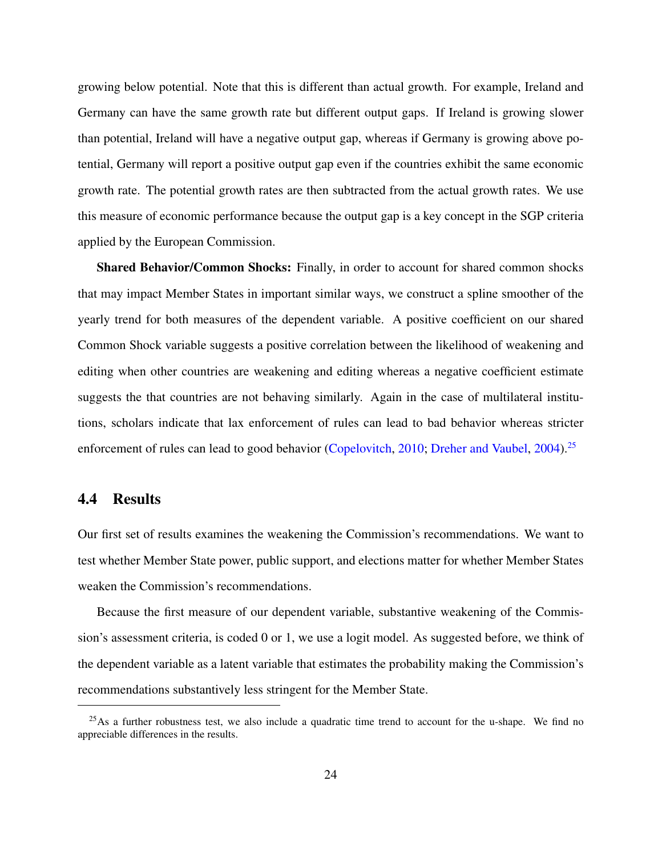growing below potential. Note that this is different than actual growth. For example, Ireland and Germany can have the same growth rate but different output gaps. If Ireland is growing slower than potential, Ireland will have a negative output gap, whereas if Germany is growing above potential, Germany will report a positive output gap even if the countries exhibit the same economic growth rate. The potential growth rates are then subtracted from the actual growth rates. We use this measure of economic performance because the output gap is a key concept in the SGP criteria applied by the European Commission.

Shared Behavior/Common Shocks: Finally, in order to account for shared common shocks that may impact Member States in important similar ways, we construct a spline smoother of the yearly trend for both measures of the dependent variable. A positive coefficient on our shared Common Shock variable suggests a positive correlation between the likelihood of weakening and editing when other countries are weakening and editing whereas a negative coefficient estimate suggests the that countries are not behaving similarly. Again in the case of multilateral institutions, scholars indicate that lax enforcement of rules can lead to bad behavior whereas stricter enforcement of rules can lead to good behavior [\(Copelovitch,](#page-49-2) [2010;](#page-49-2) [Dreher and Vaubel,](#page-49-9) [2004\)](#page-49-9).<sup>[25](#page-23-0)</sup>

#### 4.4 Results

Our first set of results examines the weakening the Commission's recommendations. We want to test whether Member State power, public support, and elections matter for whether Member States weaken the Commission's recommendations.

Because the first measure of our dependent variable, substantive weakening of the Commission's assessment criteria, is coded 0 or 1, we use a logit model. As suggested before, we think of the dependent variable as a latent variable that estimates the probability making the Commission's recommendations substantively less stringent for the Member State.

<span id="page-23-0"></span> $^{25}$ As a further robustness test, we also include a quadratic time trend to account for the u-shape. We find no appreciable differences in the results.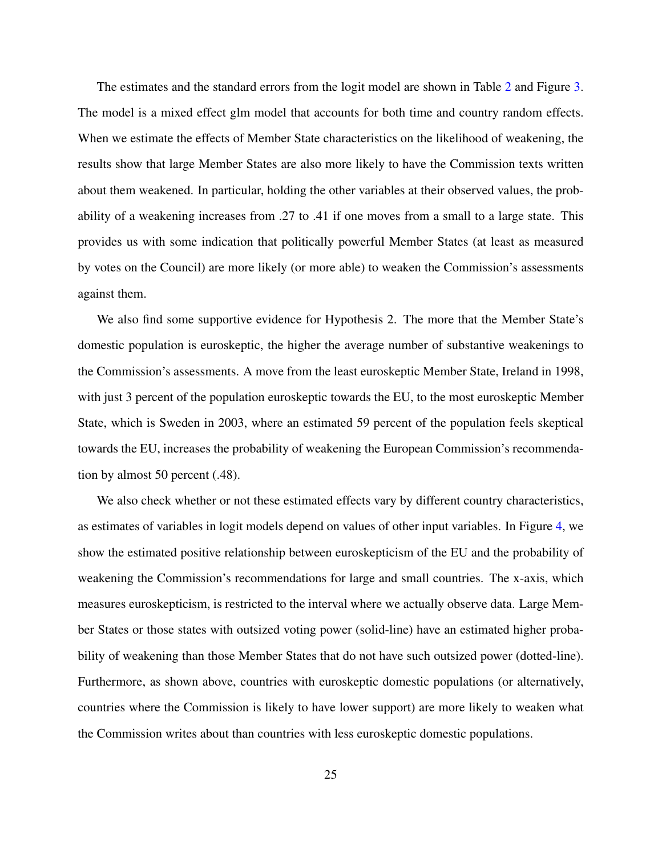The estimates and the standard errors from the logit model are shown in Table [2](#page-37-0) and Figure [3.](#page-38-0) The model is a mixed effect glm model that accounts for both time and country random effects. When we estimate the effects of Member State characteristics on the likelihood of weakening, the results show that large Member States are also more likely to have the Commission texts written about them weakened. In particular, holding the other variables at their observed values, the probability of a weakening increases from .27 to .41 if one moves from a small to a large state. This provides us with some indication that politically powerful Member States (at least as measured by votes on the Council) are more likely (or more able) to weaken the Commission's assessments against them.

We also find some supportive evidence for Hypothesis 2. The more that the Member State's domestic population is euroskeptic, the higher the average number of substantive weakenings to the Commission's assessments. A move from the least euroskeptic Member State, Ireland in 1998, with just 3 percent of the population euroskeptic towards the EU, to the most euroskeptic Member State, which is Sweden in 2003, where an estimated 59 percent of the population feels skeptical towards the EU, increases the probability of weakening the European Commission's recommendation by almost 50 percent (.48).

We also check whether or not these estimated effects vary by different country characteristics, as estimates of variables in logit models depend on values of other input variables. In Figure [4,](#page-39-0) we show the estimated positive relationship between euroskepticism of the EU and the probability of weakening the Commission's recommendations for large and small countries. The x-axis, which measures euroskepticism, is restricted to the interval where we actually observe data. Large Member States or those states with outsized voting power (solid-line) have an estimated higher probability of weakening than those Member States that do not have such outsized power (dotted-line). Furthermore, as shown above, countries with euroskeptic domestic populations (or alternatively, countries where the Commission is likely to have lower support) are more likely to weaken what the Commission writes about than countries with less euroskeptic domestic populations.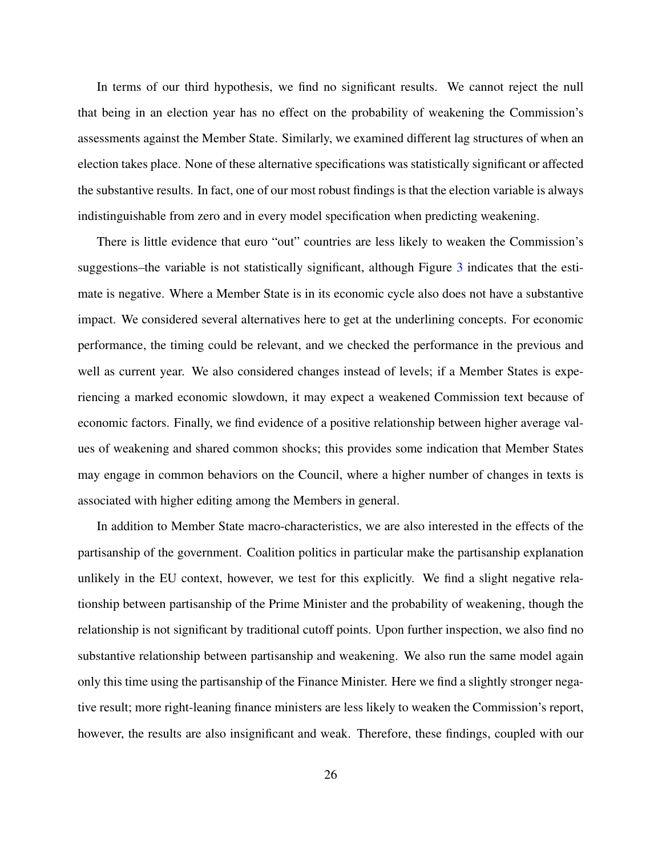In terms of our third hypothesis, we find no significant results. We cannot reject the null that being in an election year has no effect on the probability of weakening the Commission's assessments against the Member State. Similarly, we examined different lag structures of when an election takes place. None of these alternative specifications was statistically significant or affected the substantive results. In fact, one of our most robust findings is that the election variable is always indistinguishable from zero and in every model specification when predicting weakening.

There is little evidence that euro "out" countries are less likely to weaken the Commission's suggestions–the variable is not statistically significant, although Figure [3](#page-38-0) indicates that the estimate is negative. Where a Member State is in its economic cycle also does not have a substantive impact. We considered several alternatives here to get at the underlining concepts. For economic performance, the timing could be relevant, and we checked the performance in the previous and well as current year. We also considered changes instead of levels; if a Member States is experiencing a marked economic slowdown, it may expect a weakened Commission text because of economic factors. Finally, we find evidence of a positive relationship between higher average values of weakening and shared common shocks; this provides some indication that Member States may engage in common behaviors on the Council, where a higher number of changes in texts is associated with higher editing among the Members in general.

In addition to Member State macro-characteristics, we are also interested in the effects of the partisanship of the government. Coalition politics in particular make the partisanship explanation unlikely in the EU context, however, we test for this explicitly. We find a slight negative relationship between partisanship of the Prime Minister and the probability of weakening, though the relationship is not significant by traditional cutoff points. Upon further inspection, we also find no substantive relationship between partisanship and weakening. We also run the same model again only this time using the partisanship of the Finance Minister. Here we find a slightly stronger negative result; more right-leaning finance ministers are less likely to weaken the Commission's report, however, the results are also insignificant and weak. Therefore, these findings, coupled with our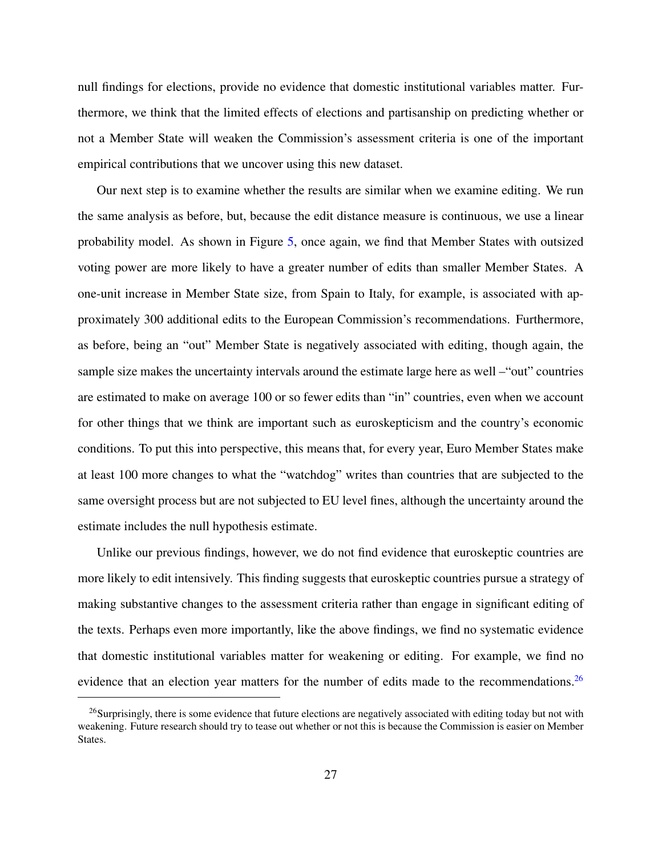null findings for elections, provide no evidence that domestic institutional variables matter. Furthermore, we think that the limited effects of elections and partisanship on predicting whether or not a Member State will weaken the Commission's assessment criteria is one of the important empirical contributions that we uncover using this new dataset.

Our next step is to examine whether the results are similar when we examine editing. We run the same analysis as before, but, because the edit distance measure is continuous, we use a linear probability model. As shown in Figure [5,](#page-40-0) once again, we find that Member States with outsized voting power are more likely to have a greater number of edits than smaller Member States. A one-unit increase in Member State size, from Spain to Italy, for example, is associated with approximately 300 additional edits to the European Commission's recommendations. Furthermore, as before, being an "out" Member State is negatively associated with editing, though again, the sample size makes the uncertainty intervals around the estimate large here as well –"out" countries are estimated to make on average 100 or so fewer edits than "in" countries, even when we account for other things that we think are important such as euroskepticism and the country's economic conditions. To put this into perspective, this means that, for every year, Euro Member States make at least 100 more changes to what the "watchdog" writes than countries that are subjected to the same oversight process but are not subjected to EU level fines, although the uncertainty around the estimate includes the null hypothesis estimate.

Unlike our previous findings, however, we do not find evidence that euroskeptic countries are more likely to edit intensively. This finding suggests that euroskeptic countries pursue a strategy of making substantive changes to the assessment criteria rather than engage in significant editing of the texts. Perhaps even more importantly, like the above findings, we find no systematic evidence that domestic institutional variables matter for weakening or editing. For example, we find no evidence that an election year matters for the number of edits made to the recommendations.<sup>[26](#page-26-0)</sup>

<span id="page-26-0"></span><sup>&</sup>lt;sup>26</sup>Surprisingly, there is some evidence that future elections are negatively associated with editing today but not with weakening. Future research should try to tease out whether or not this is because the Commission is easier on Member States.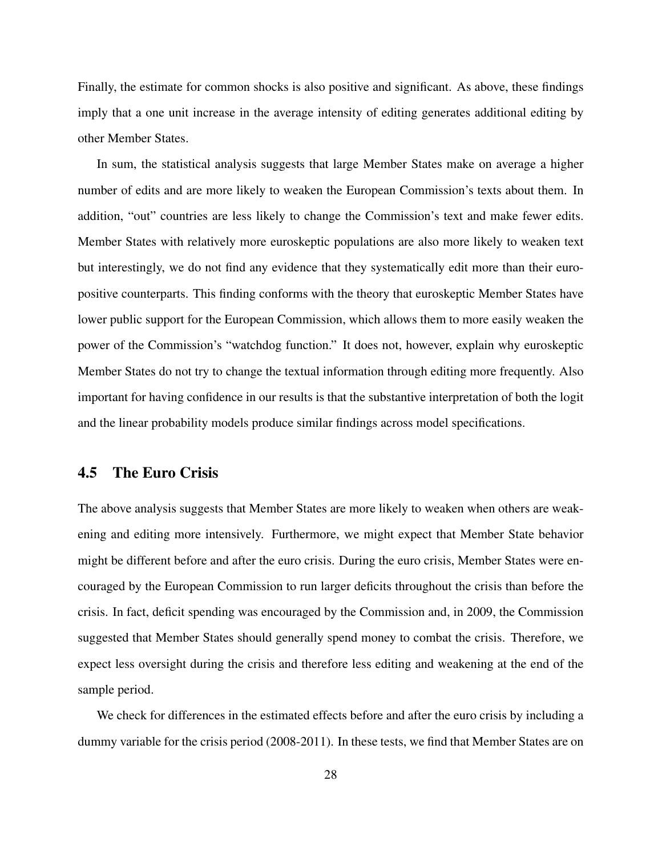Finally, the estimate for common shocks is also positive and significant. As above, these findings imply that a one unit increase in the average intensity of editing generates additional editing by other Member States.

In sum, the statistical analysis suggests that large Member States make on average a higher number of edits and are more likely to weaken the European Commission's texts about them. In addition, "out" countries are less likely to change the Commission's text and make fewer edits. Member States with relatively more euroskeptic populations are also more likely to weaken text but interestingly, we do not find any evidence that they systematically edit more than their europositive counterparts. This finding conforms with the theory that euroskeptic Member States have lower public support for the European Commission, which allows them to more easily weaken the power of the Commission's "watchdog function." It does not, however, explain why euroskeptic Member States do not try to change the textual information through editing more frequently. Also important for having confidence in our results is that the substantive interpretation of both the logit and the linear probability models produce similar findings across model specifications.

#### 4.5 The Euro Crisis

The above analysis suggests that Member States are more likely to weaken when others are weakening and editing more intensively. Furthermore, we might expect that Member State behavior might be different before and after the euro crisis. During the euro crisis, Member States were encouraged by the European Commission to run larger deficits throughout the crisis than before the crisis. In fact, deficit spending was encouraged by the Commission and, in 2009, the Commission suggested that Member States should generally spend money to combat the crisis. Therefore, we expect less oversight during the crisis and therefore less editing and weakening at the end of the sample period.

We check for differences in the estimated effects before and after the euro crisis by including a dummy variable for the crisis period (2008-2011). In these tests, we find that Member States are on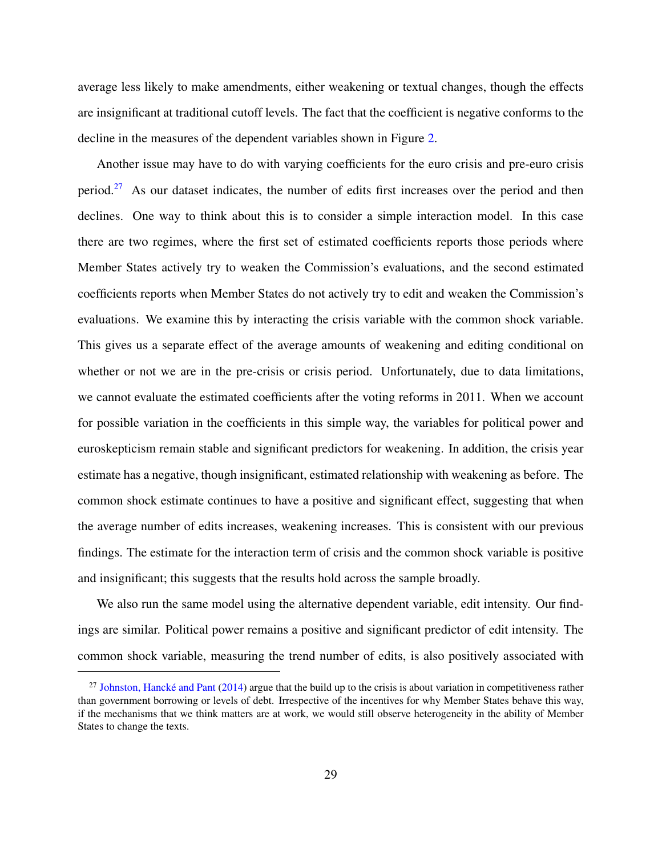average less likely to make amendments, either weakening or textual changes, though the effects are insignificant at traditional cutoff levels. The fact that the coefficient is negative conforms to the decline in the measures of the dependent variables shown in Figure [2.](#page-36-1)

Another issue may have to do with varying coefficients for the euro crisis and pre-euro crisis period.<sup>[27](#page-28-0)</sup> As our dataset indicates, the number of edits first increases over the period and then declines. One way to think about this is to consider a simple interaction model. In this case there are two regimes, where the first set of estimated coefficients reports those periods where Member States actively try to weaken the Commission's evaluations, and the second estimated coefficients reports when Member States do not actively try to edit and weaken the Commission's evaluations. We examine this by interacting the crisis variable with the common shock variable. This gives us a separate effect of the average amounts of weakening and editing conditional on whether or not we are in the pre-crisis or crisis period. Unfortunately, due to data limitations, we cannot evaluate the estimated coefficients after the voting reforms in 2011. When we account for possible variation in the coefficients in this simple way, the variables for political power and euroskepticism remain stable and significant predictors for weakening. In addition, the crisis year estimate has a negative, though insignificant, estimated relationship with weakening as before. The common shock estimate continues to have a positive and significant effect, suggesting that when the average number of edits increases, weakening increases. This is consistent with our previous findings. The estimate for the interaction term of crisis and the common shock variable is positive and insignificant; this suggests that the results hold across the sample broadly.

We also run the same model using the alternative dependent variable, edit intensity. Our findings are similar. Political power remains a positive and significant predictor of edit intensity. The common shock variable, measuring the trend number of edits, is also positively associated with

<span id="page-28-0"></span><sup>&</sup>lt;sup>27</sup> Johnston, Hancké and Pant  $(2014)$  argue that the build up to the crisis is about variation in competitiveness rather than government borrowing or levels of debt. Irrespective of the incentives for why Member States behave this way, if the mechanisms that we think matters are at work, we would still observe heterogeneity in the ability of Member States to change the texts.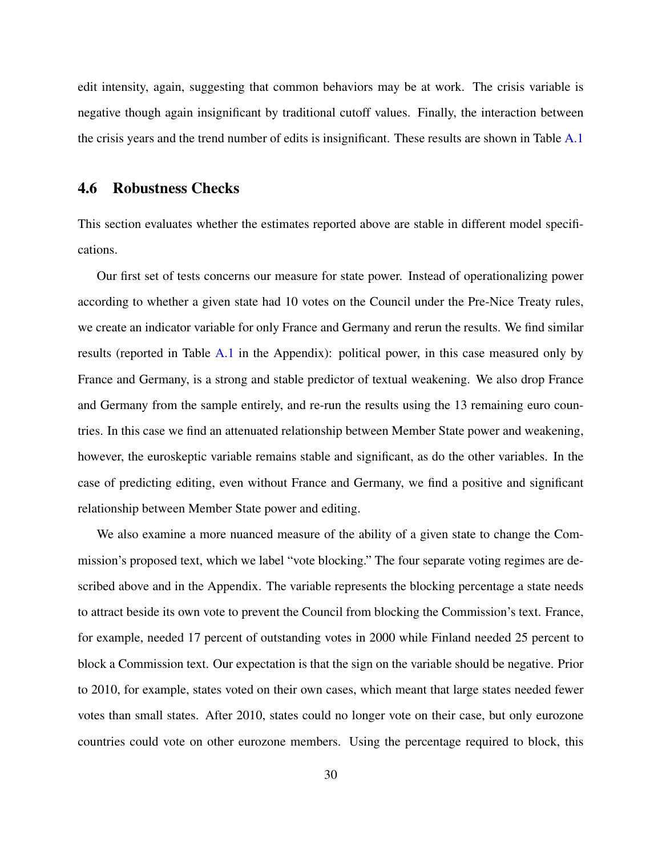edit intensity, again, suggesting that common behaviors may be at work. The crisis variable is negative though again insignificant by traditional cutoff values. Finally, the interaction between the crisis years and the trend number of edits is insignificant. These results are shown in Table [A.1](#page-46-0)

#### 4.6 Robustness Checks

This section evaluates whether the estimates reported above are stable in different model specifications.

Our first set of tests concerns our measure for state power. Instead of operationalizing power according to whether a given state had 10 votes on the Council under the Pre-Nice Treaty rules, we create an indicator variable for only France and Germany and rerun the results. We find similar results (reported in Table [A.1](#page-46-0) in the Appendix): political power, in this case measured only by France and Germany, is a strong and stable predictor of textual weakening. We also drop France and Germany from the sample entirely, and re-run the results using the 13 remaining euro countries. In this case we find an attenuated relationship between Member State power and weakening, however, the euroskeptic variable remains stable and significant, as do the other variables. In the case of predicting editing, even without France and Germany, we find a positive and significant relationship between Member State power and editing.

We also examine a more nuanced measure of the ability of a given state to change the Commission's proposed text, which we label "vote blocking." The four separate voting regimes are described above and in the Appendix. The variable represents the blocking percentage a state needs to attract beside its own vote to prevent the Council from blocking the Commission's text. France, for example, needed 17 percent of outstanding votes in 2000 while Finland needed 25 percent to block a Commission text. Our expectation is that the sign on the variable should be negative. Prior to 2010, for example, states voted on their own cases, which meant that large states needed fewer votes than small states. After 2010, states could no longer vote on their case, but only eurozone countries could vote on other eurozone members. Using the percentage required to block, this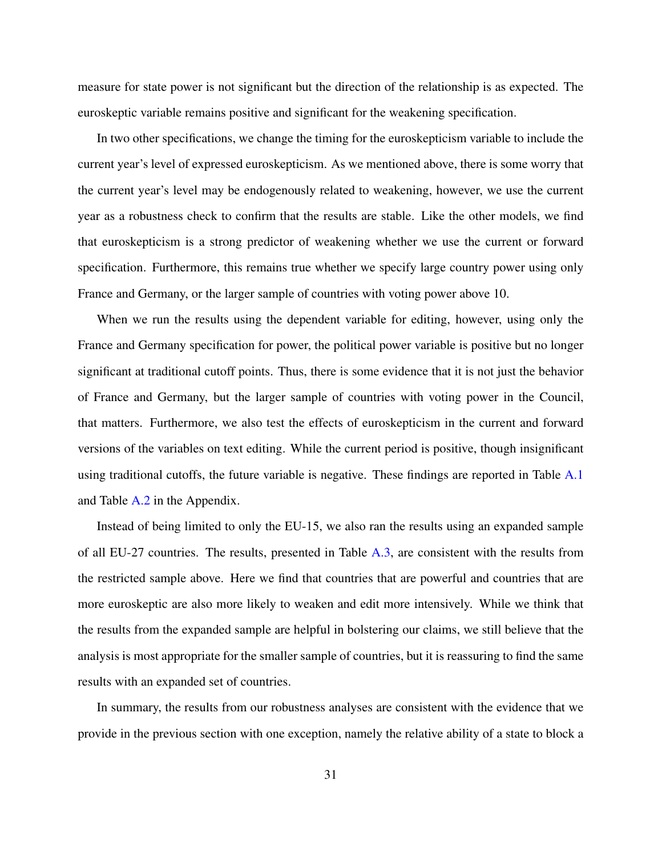measure for state power is not significant but the direction of the relationship is as expected. The euroskeptic variable remains positive and significant for the weakening specification.

In two other specifications, we change the timing for the euroskepticism variable to include the current year's level of expressed euroskepticism. As we mentioned above, there is some worry that the current year's level may be endogenously related to weakening, however, we use the current year as a robustness check to confirm that the results are stable. Like the other models, we find that euroskepticism is a strong predictor of weakening whether we use the current or forward specification. Furthermore, this remains true whether we specify large country power using only France and Germany, or the larger sample of countries with voting power above 10.

When we run the results using the dependent variable for editing, however, using only the France and Germany specification for power, the political power variable is positive but no longer significant at traditional cutoff points. Thus, there is some evidence that it is not just the behavior of France and Germany, but the larger sample of countries with voting power in the Council, that matters. Furthermore, we also test the effects of euroskepticism in the current and forward versions of the variables on text editing. While the current period is positive, though insignificant using traditional cutoffs, the future variable is negative. These findings are reported in Table [A.1](#page-46-0) and Table [A.2](#page-47-0) in the Appendix.

Instead of being limited to only the EU-15, we also ran the results using an expanded sample of all EU-27 countries. The results, presented in Table [A.3,](#page-48-0) are consistent with the results from the restricted sample above. Here we find that countries that are powerful and countries that are more euroskeptic are also more likely to weaken and edit more intensively. While we think that the results from the expanded sample are helpful in bolstering our claims, we still believe that the analysis is most appropriate for the smaller sample of countries, but it is reassuring to find the same results with an expanded set of countries.

In summary, the results from our robustness analyses are consistent with the evidence that we provide in the previous section with one exception, namely the relative ability of a state to block a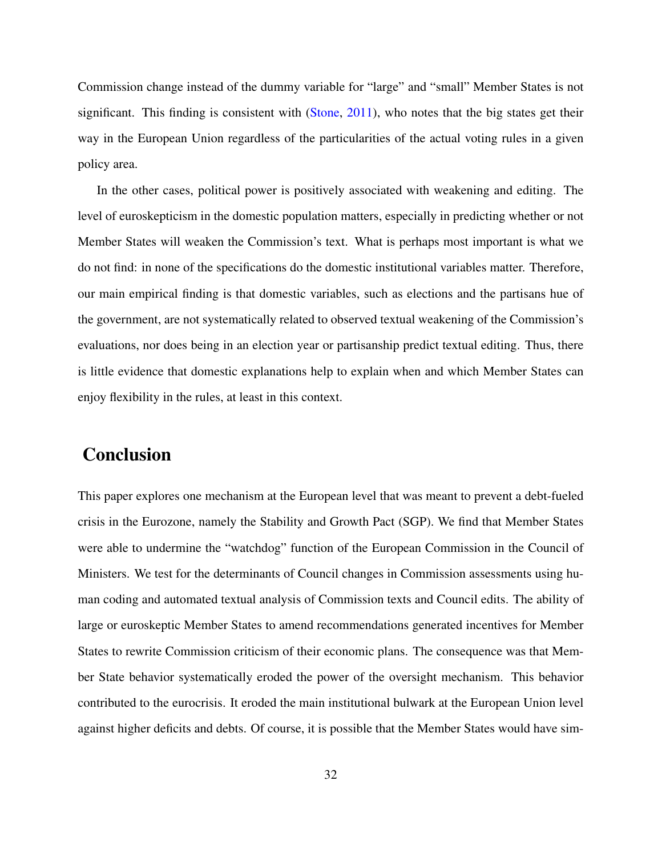Commission change instead of the dummy variable for "large" and "small" Member States is not significant. This finding is consistent with [\(Stone,](#page-52-7) [2011\)](#page-52-7), who notes that the big states get their way in the European Union regardless of the particularities of the actual voting rules in a given policy area.

In the other cases, political power is positively associated with weakening and editing. The level of euroskepticism in the domestic population matters, especially in predicting whether or not Member States will weaken the Commission's text. What is perhaps most important is what we do not find: in none of the specifications do the domestic institutional variables matter. Therefore, our main empirical finding is that domestic variables, such as elections and the partisans hue of the government, are not systematically related to observed textual weakening of the Commission's evaluations, nor does being in an election year or partisanship predict textual editing. Thus, there is little evidence that domestic explanations help to explain when and which Member States can enjoy flexibility in the rules, at least in this context.

### Conclusion

This paper explores one mechanism at the European level that was meant to prevent a debt-fueled crisis in the Eurozone, namely the Stability and Growth Pact (SGP). We find that Member States were able to undermine the "watchdog" function of the European Commission in the Council of Ministers. We test for the determinants of Council changes in Commission assessments using human coding and automated textual analysis of Commission texts and Council edits. The ability of large or euroskeptic Member States to amend recommendations generated incentives for Member States to rewrite Commission criticism of their economic plans. The consequence was that Member State behavior systematically eroded the power of the oversight mechanism. This behavior contributed to the eurocrisis. It eroded the main institutional bulwark at the European Union level against higher deficits and debts. Of course, it is possible that the Member States would have sim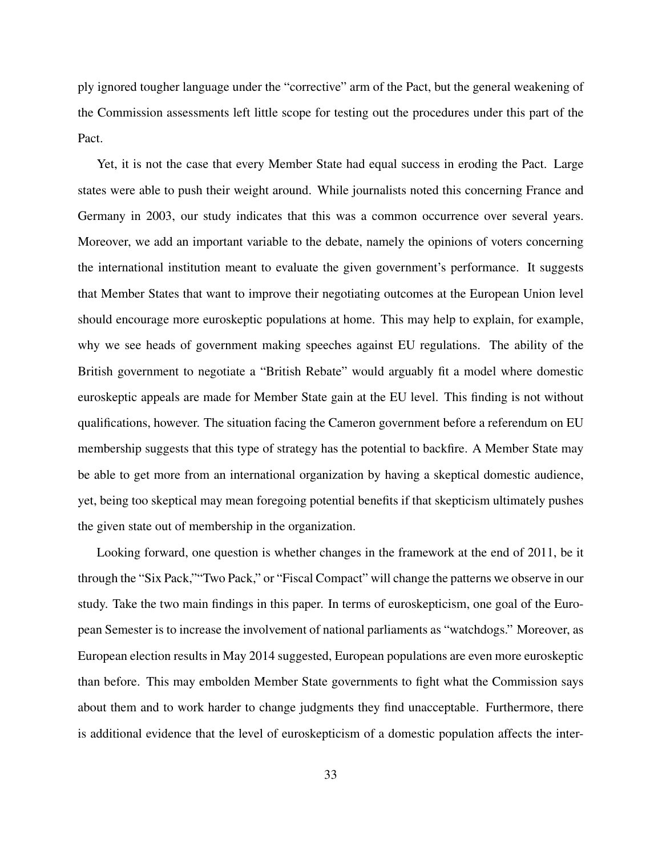ply ignored tougher language under the "corrective" arm of the Pact, but the general weakening of the Commission assessments left little scope for testing out the procedures under this part of the Pact.

Yet, it is not the case that every Member State had equal success in eroding the Pact. Large states were able to push their weight around. While journalists noted this concerning France and Germany in 2003, our study indicates that this was a common occurrence over several years. Moreover, we add an important variable to the debate, namely the opinions of voters concerning the international institution meant to evaluate the given government's performance. It suggests that Member States that want to improve their negotiating outcomes at the European Union level should encourage more euroskeptic populations at home. This may help to explain, for example, why we see heads of government making speeches against EU regulations. The ability of the British government to negotiate a "British Rebate" would arguably fit a model where domestic euroskeptic appeals are made for Member State gain at the EU level. This finding is not without qualifications, however. The situation facing the Cameron government before a referendum on EU membership suggests that this type of strategy has the potential to backfire. A Member State may be able to get more from an international organization by having a skeptical domestic audience, yet, being too skeptical may mean foregoing potential benefits if that skepticism ultimately pushes the given state out of membership in the organization.

Looking forward, one question is whether changes in the framework at the end of 2011, be it through the "Six Pack,""Two Pack," or "Fiscal Compact" will change the patterns we observe in our study. Take the two main findings in this paper. In terms of euroskepticism, one goal of the European Semester is to increase the involvement of national parliaments as "watchdogs." Moreover, as European election results in May 2014 suggested, European populations are even more euroskeptic than before. This may embolden Member State governments to fight what the Commission says about them and to work harder to change judgments they find unacceptable. Furthermore, there is additional evidence that the level of euroskepticism of a domestic population affects the inter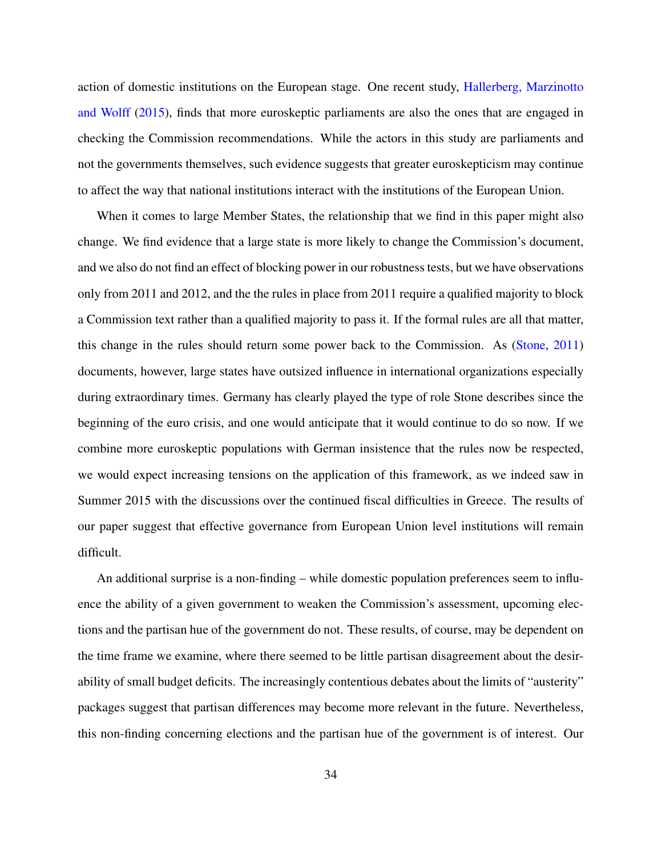action of domestic institutions on the European stage. One recent study, [Hallerberg, Marzinotto](#page-50-9) [and Wolff](#page-50-9) [\(2015\)](#page-50-9), finds that more euroskeptic parliaments are also the ones that are engaged in checking the Commission recommendations. While the actors in this study are parliaments and not the governments themselves, such evidence suggests that greater euroskepticism may continue to affect the way that national institutions interact with the institutions of the European Union.

When it comes to large Member States, the relationship that we find in this paper might also change. We find evidence that a large state is more likely to change the Commission's document, and we also do not find an effect of blocking power in our robustness tests, but we have observations only from 2011 and 2012, and the the rules in place from 2011 require a qualified majority to block a Commission text rather than a qualified majority to pass it. If the formal rules are all that matter, this change in the rules should return some power back to the Commission. As [\(Stone,](#page-52-7) [2011\)](#page-52-7) documents, however, large states have outsized influence in international organizations especially during extraordinary times. Germany has clearly played the type of role Stone describes since the beginning of the euro crisis, and one would anticipate that it would continue to do so now. If we combine more euroskeptic populations with German insistence that the rules now be respected, we would expect increasing tensions on the application of this framework, as we indeed saw in Summer 2015 with the discussions over the continued fiscal difficulties in Greece. The results of our paper suggest that effective governance from European Union level institutions will remain difficult.

An additional surprise is a non-finding – while domestic population preferences seem to influence the ability of a given government to weaken the Commission's assessment, upcoming elections and the partisan hue of the government do not. These results, of course, may be dependent on the time frame we examine, where there seemed to be little partisan disagreement about the desirability of small budget deficits. The increasingly contentious debates about the limits of "austerity" packages suggest that partisan differences may become more relevant in the future. Nevertheless, this non-finding concerning elections and the partisan hue of the government is of interest. Our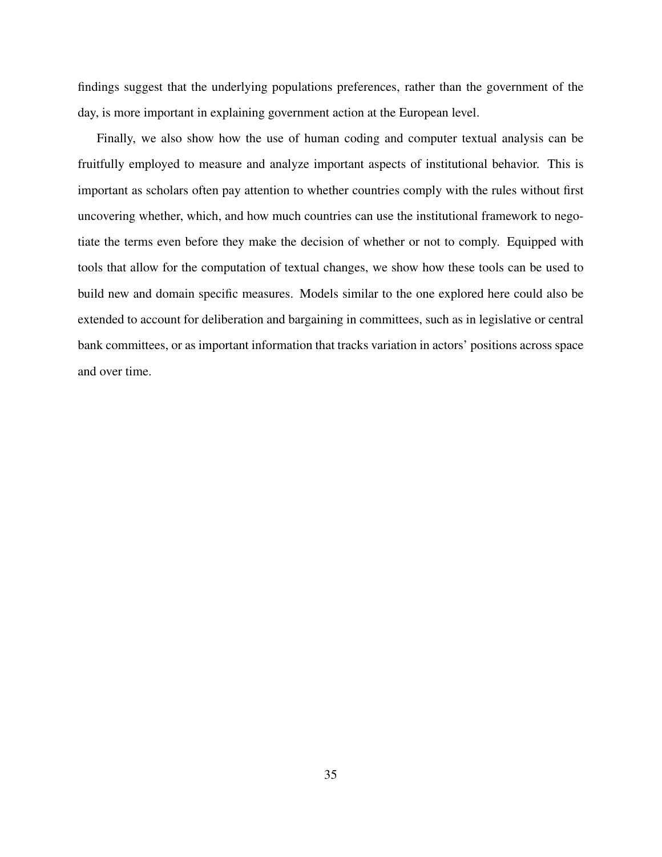findings suggest that the underlying populations preferences, rather than the government of the day, is more important in explaining government action at the European level.

Finally, we also show how the use of human coding and computer textual analysis can be fruitfully employed to measure and analyze important aspects of institutional behavior. This is important as scholars often pay attention to whether countries comply with the rules without first uncovering whether, which, and how much countries can use the institutional framework to negotiate the terms even before they make the decision of whether or not to comply. Equipped with tools that allow for the computation of textual changes, we show how these tools can be used to build new and domain specific measures. Models similar to the one explored here could also be extended to account for deliberation and bargaining in committees, such as in legislative or central bank committees, or as important information that tracks variation in actors' positions across space and over time.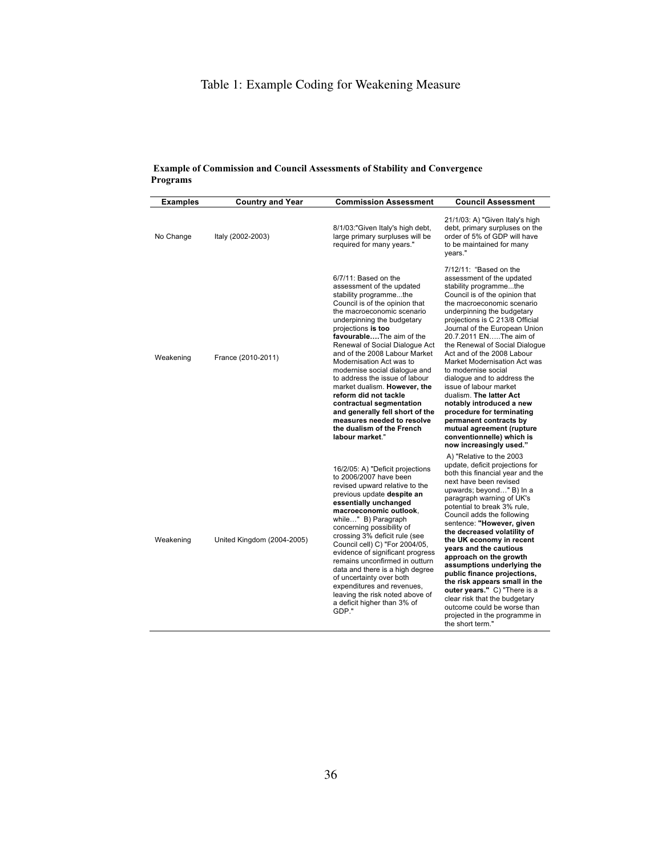### Table 1: Example Coding for Weakening Measure

| <b>Examples</b> | <b>Country and Year</b>    | <b>Commission Assessment</b>                                                                                                                                                                                                                                                                                                                                                                                                                                                                                                                                                                        | <b>Council Assessment</b>                                                                                                                                                                                                                                                                                                                                                                                                                                                                                                                                                                                                                                    |
|-----------------|----------------------------|-----------------------------------------------------------------------------------------------------------------------------------------------------------------------------------------------------------------------------------------------------------------------------------------------------------------------------------------------------------------------------------------------------------------------------------------------------------------------------------------------------------------------------------------------------------------------------------------------------|--------------------------------------------------------------------------------------------------------------------------------------------------------------------------------------------------------------------------------------------------------------------------------------------------------------------------------------------------------------------------------------------------------------------------------------------------------------------------------------------------------------------------------------------------------------------------------------------------------------------------------------------------------------|
| No Change       | Italy (2002-2003)          | 8/1/03:"Given Italy's high debt,<br>large primary surpluses will be<br>required for many years."                                                                                                                                                                                                                                                                                                                                                                                                                                                                                                    | 21/1/03: A) "Given Italy's high<br>debt, primary surpluses on the<br>order of 5% of GDP will have<br>to be maintained for many<br>vears."                                                                                                                                                                                                                                                                                                                                                                                                                                                                                                                    |
| Weakening       | France (2010-2011)         | 6/7/11: Based on the<br>assessment of the updated<br>stability programmethe<br>Council is of the opinion that<br>the macroeconomic scenario<br>underpinning the budgetary<br>projections is too<br>favourableThe aim of the<br>Renewal of Social Dialogue Act<br>and of the 2008 Labour Market<br>Modernisation Act was to<br>modernise social dialogue and<br>to address the issue of labour<br>market dualism. However, the<br>reform did not tackle<br>contractual segmentation<br>and generally fell short of the<br>measures needed to resolve<br>the dualism of the French<br>labour market." | 7/12/11: "Based on the<br>assessment of the updated<br>stability programmethe<br>Council is of the opinion that<br>the macroeconomic scenario<br>underpinning the budgetary<br>projections is C 213/8 Official<br>Journal of the European Union<br>20.7.2011 ENThe aim of<br>the Renewal of Social Dialogue<br>Act and of the 2008 Labour<br>Market Modernisation Act was<br>to modernise social<br>dialogue and to address the<br>issue of labour market<br>dualism. The latter Act<br>notably introduced a new<br>procedure for terminating<br>permanent contracts by<br>mutual agreement (rupture<br>conventionnelle) which is<br>now increasingly used." |
| Weakening       | United Kingdom (2004-2005) | 16/2/05: A) "Deficit projections<br>to 2006/2007 have been<br>revised upward relative to the<br>previous update despite an<br>essentially unchanged<br>macroeconomic outlook.<br>while" B) Paragraph<br>concerning possibility of<br>crossing 3% deficit rule (see<br>Council cell) C) "For 2004/05,<br>evidence of significant progress<br>remains unconfirmed in outturn<br>data and there is a high degree<br>of uncertainty over both<br>expenditures and revenues,<br>leaving the risk noted above of<br>a deficit higher than 3% of<br>GDP."                                                  | A) "Relative to the 2003<br>update, deficit projections for<br>both this financial year and the<br>next have been revised<br>upwards; beyond" B) In a<br>paragraph warning of UK's<br>potential to break 3% rule,<br>Council adds the following<br>sentence: "However, given<br>the decreased volatility of<br>the UK economy in recent<br>years and the cautious<br>approach on the growth<br>assumptions underlying the<br>public finance projections,<br>the risk appears small in the<br>outer years." C) "There is a<br>clear risk that the budgetary<br>outcome could be worse than<br>projected in the programme in<br>the short term."               |

#### <span id="page-35-0"></span>**Example of Commission and Council Assessments of Stability and Convergence Programs**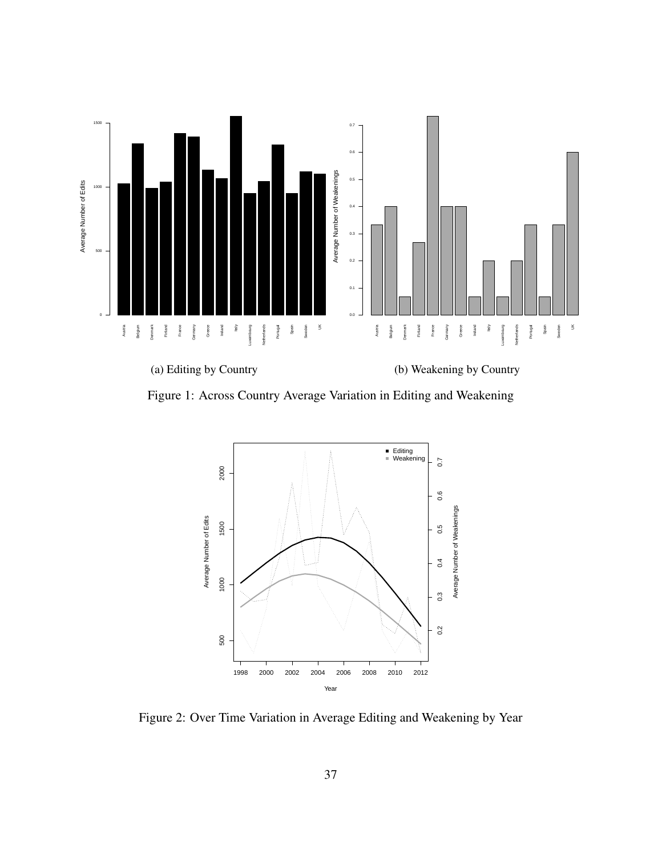<span id="page-36-0"></span>

<span id="page-36-1"></span>Figure 1: Across Country Average Variation in Editing and Weakening



Figure 2: Over Time Variation in Average Editing and Weakening by Year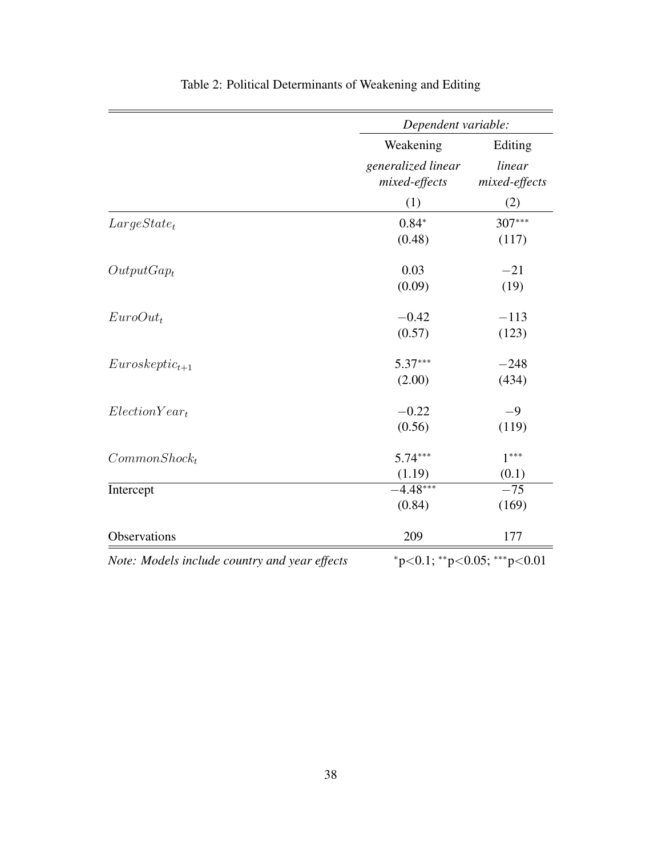<span id="page-37-0"></span>

|                                               | Dependent variable:                 |                                   |
|-----------------------------------------------|-------------------------------------|-----------------------------------|
|                                               | Weakening                           | Editing                           |
|                                               | generalized linear<br>mixed-effects | linear<br>mixed-effects           |
|                                               | (1)                                 | (2)                               |
| $Large State_t$                               | $0.84*$                             | 307***                            |
|                                               | (0.48)                              | (117)                             |
| $OutputGap_t$                                 | 0.03                                | $-21$                             |
|                                               | (0.09)                              | (19)                              |
| $EuroOut_t$                                   | $-0.42$                             | $-113$                            |
|                                               | (0.57)                              | (123)                             |
| $Euroskeptic_{t+1}$                           | $5.37***$                           | $-248$                            |
|                                               | (2.00)                              | (434)                             |
| $Election Year_t$                             | $-0.22$                             | $-9$                              |
|                                               | (0.56)                              | (119)                             |
| $Common Shock_t$                              | $5.74***$                           | $1***$                            |
|                                               | (1.19)                              | (0.1)                             |
| Intercept                                     | $-4.48***$                          | $-75$                             |
|                                               | (0.84)                              | (169)                             |
| Observations                                  | 209                                 | 177                               |
| Note: Models include country and year effects |                                     | $*_{p<0.1}$ ; **p<0.05; ***p<0.01 |

## Table 2: Political Determinants of Weakening and Editing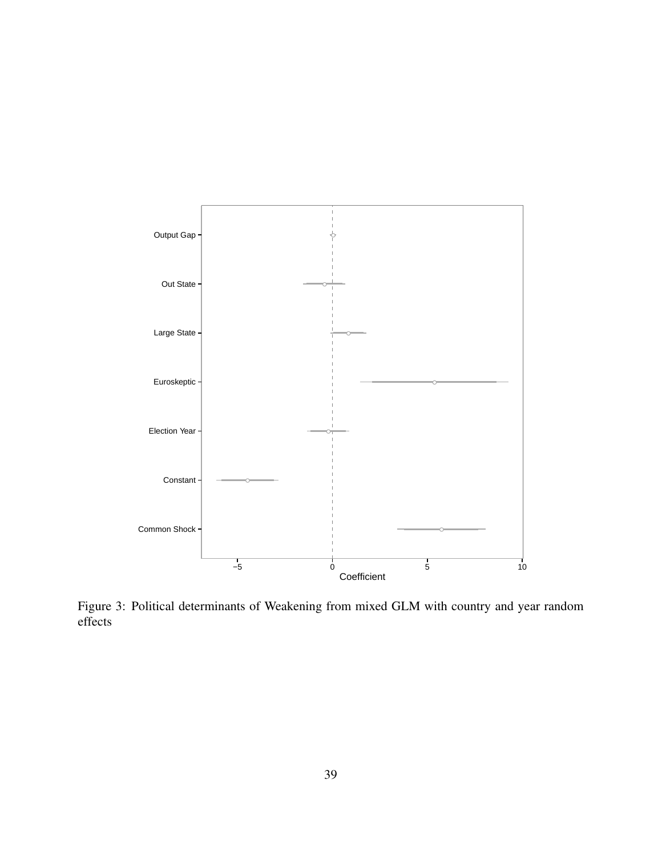<span id="page-38-0"></span>

Figure 3: Political determinants of Weakening from mixed GLM with country and year random effects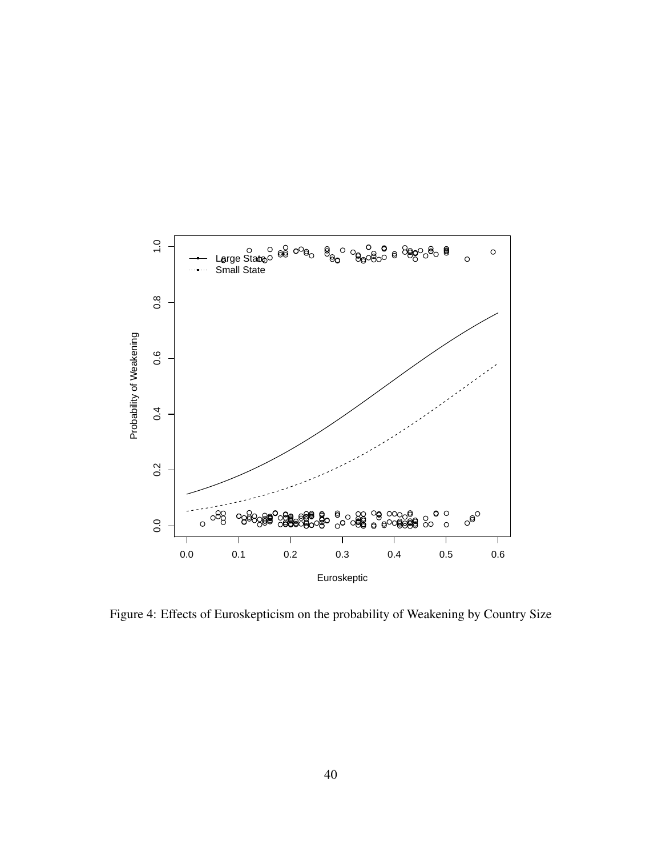<span id="page-39-0"></span>

Figure 4: Effects of Euroskepticism on the probability of Weakening by Country Size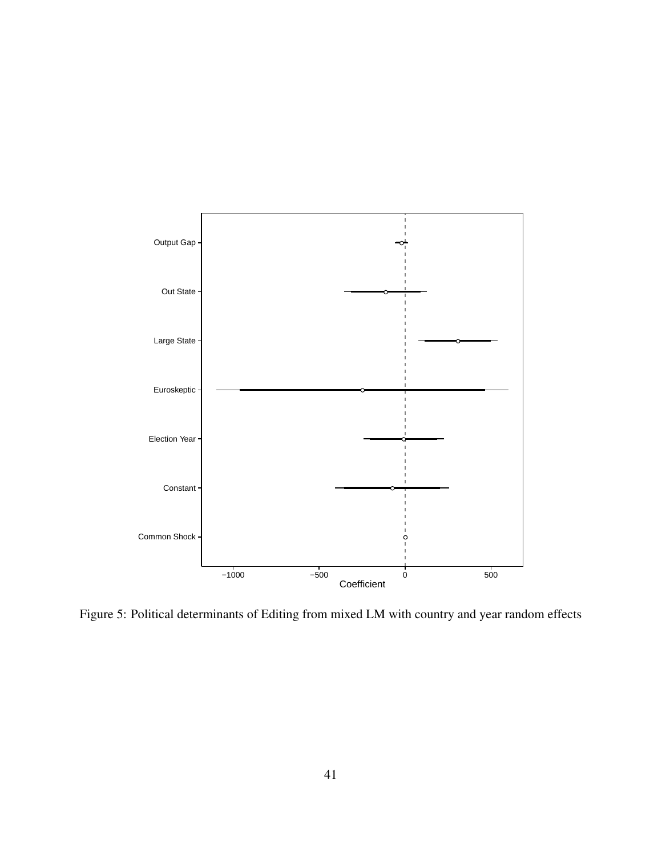<span id="page-40-0"></span>

Figure 5: Political determinants of Editing from mixed LM with country and year random effects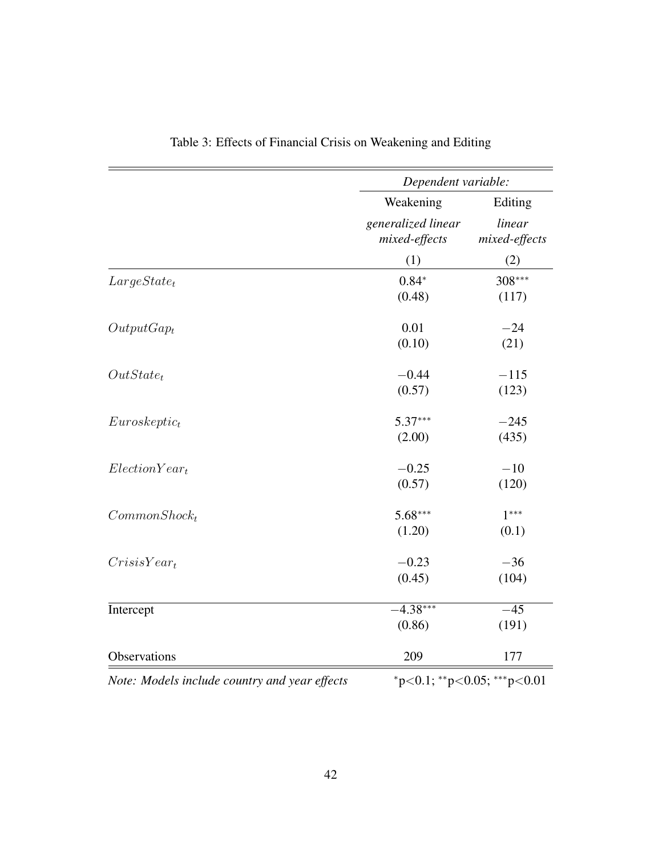<span id="page-41-0"></span>

|                                               | Dependent variable:                 |                             |
|-----------------------------------------------|-------------------------------------|-----------------------------|
|                                               | Weakening                           | Editing                     |
|                                               | generalized linear<br>mixed-effects | linear<br>mixed-effects     |
|                                               | (1)                                 | (2)                         |
| $Large State_t$                               | $0.84*$                             | 308***                      |
|                                               | (0.48)                              | (117)                       |
| $OutputGap_t$                                 | 0.01                                | $-24$                       |
|                                               | (0.10)                              | (21)                        |
| $OutState_t$                                  | $-0.44$                             | $-115$                      |
|                                               | (0.57)                              | (123)                       |
| Euroskeptic <sub>t</sub>                      | $5.37***$                           | $-245$                      |
|                                               | (2.00)                              | (435)                       |
| $Election Year_t$                             | $-0.25$                             | $-10$                       |
|                                               | (0.57)                              | (120)                       |
| $Common Shock_t$                              | $5.68***$                           | $1***$                      |
|                                               | (1.20)                              | (0.1)                       |
| $CrisisYear_t$                                | $-0.23$                             | $-36$                       |
|                                               | (0.45)                              | (104)                       |
| Intercept                                     | $-4.38***$                          | $-45$                       |
|                                               | (0.86)                              | (191)                       |
| Observations                                  | 209                                 | 177                         |
| Note: Models include country and year effects |                                     | *p<0.1; **p<0.05; ***p<0.01 |

|  |  |  | Table 3: Effects of Financial Crisis on Weakening and Editing |  |  |
|--|--|--|---------------------------------------------------------------|--|--|
|  |  |  |                                                               |  |  |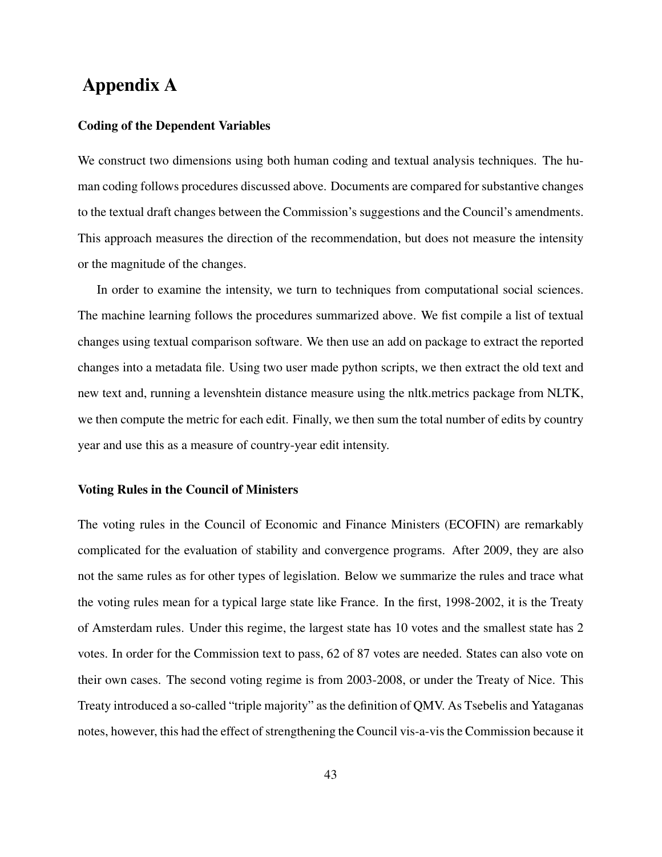### Appendix A

#### Coding of the Dependent Variables

We construct two dimensions using both human coding and textual analysis techniques. The human coding follows procedures discussed above. Documents are compared for substantive changes to the textual draft changes between the Commission's suggestions and the Council's amendments. This approach measures the direction of the recommendation, but does not measure the intensity or the magnitude of the changes.

In order to examine the intensity, we turn to techniques from computational social sciences. The machine learning follows the procedures summarized above. We fist compile a list of textual changes using textual comparison software. We then use an add on package to extract the reported changes into a metadata file. Using two user made python scripts, we then extract the old text and new text and, running a levenshtein distance measure using the nltk.metrics package from NLTK, we then compute the metric for each edit. Finally, we then sum the total number of edits by country year and use this as a measure of country-year edit intensity.

#### Voting Rules in the Council of Ministers

The voting rules in the Council of Economic and Finance Ministers (ECOFIN) are remarkably complicated for the evaluation of stability and convergence programs. After 2009, they are also not the same rules as for other types of legislation. Below we summarize the rules and trace what the voting rules mean for a typical large state like France. In the first, 1998-2002, it is the Treaty of Amsterdam rules. Under this regime, the largest state has 10 votes and the smallest state has 2 votes. In order for the Commission text to pass, 62 of 87 votes are needed. States can also vote on their own cases. The second voting regime is from 2003-2008, or under the Treaty of Nice. This Treaty introduced a so-called "triple majority" as the definition of QMV. As Tsebelis and Yataganas notes, however, this had the effect of strengthening the Council vis-a-vis the Commission because it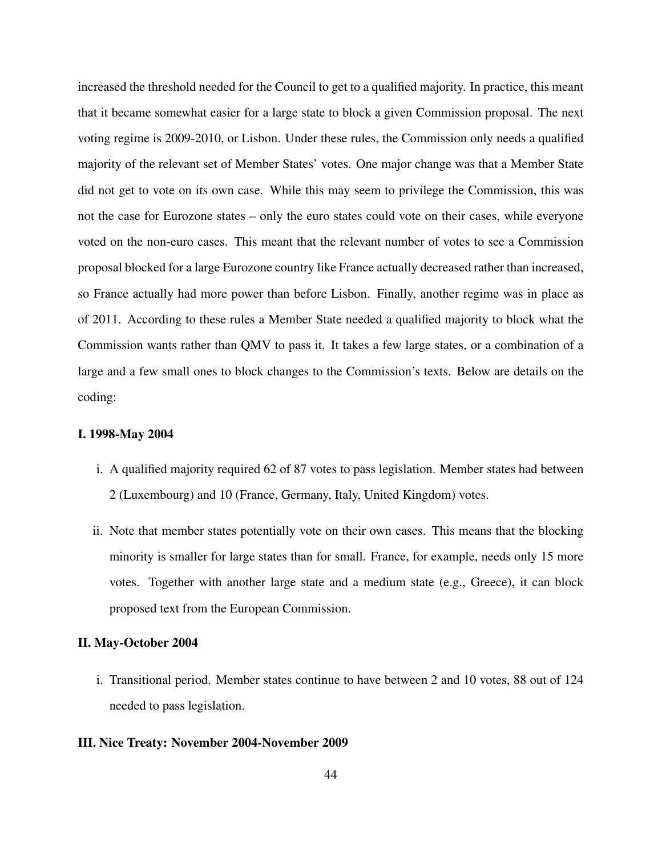increased the threshold needed for the Council to get to a qualified majority. In practice, this meant that it became somewhat easier for a large state to block a given Commission proposal. The next voting regime is 2009-2010, or Lisbon. Under these rules, the Commission only needs a qualified majority of the relevant set of Member States' votes. One major change was that a Member State did not get to vote on its own case. While this may seem to privilege the Commission, this was not the case for Eurozone states – only the euro states could vote on their cases, while everyone voted on the non-euro cases. This meant that the relevant number of votes to see a Commission proposal blocked for a large Eurozone country like France actually decreased rather than increased, so France actually had more power than before Lisbon. Finally, another regime was in place as of 2011. According to these rules a Member State needed a qualified majority to block what the Commission wants rather than QMV to pass it. It takes a few large states, or a combination of a large and a few small ones to block changes to the Commission's texts. Below are details on the coding:

#### I. 1998-May 2004

- i. A qualified majority required 62 of 87 votes to pass legislation. Member states had between 2 (Luxembourg) and 10 (France, Germany, Italy, United Kingdom) votes.
- ii. Note that member states potentially vote on their own cases. This means that the blocking minority is smaller for large states than for small. France, for example, needs only 15 more votes. Together with another large state and a medium state (e.g., Greece), it can block proposed text from the European Commission.

#### II. May-October 2004

i. Transitional period. Member states continue to have between 2 and 10 votes, 88 out of 124 needed to pass legislation.

#### III. Nice Treaty: November 2004-November 2009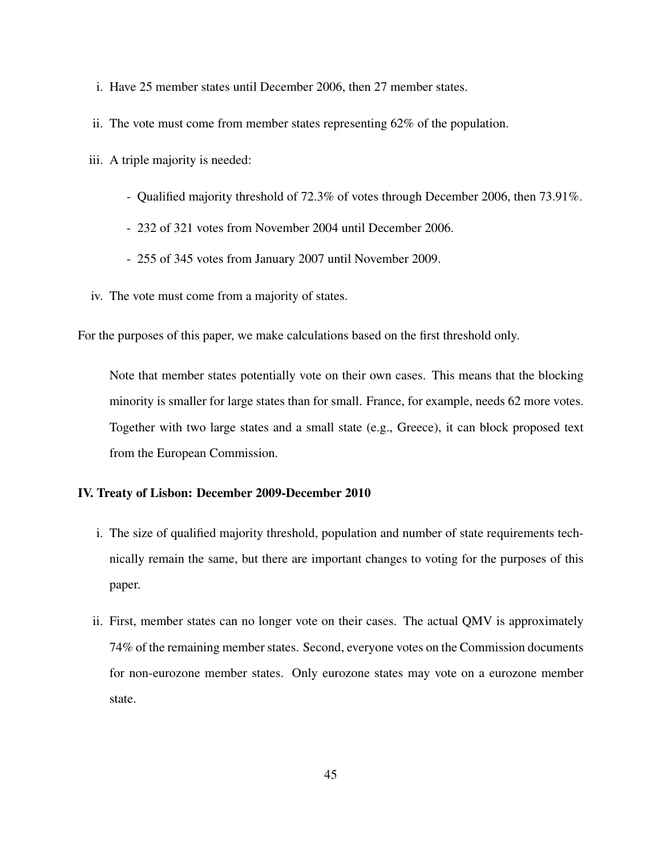- i. Have 25 member states until December 2006, then 27 member states.
- ii. The vote must come from member states representing 62% of the population.
- iii. A triple majority is needed:
	- Qualified majority threshold of 72.3% of votes through December 2006, then 73.91%.
	- 232 of 321 votes from November 2004 until December 2006.
	- 255 of 345 votes from January 2007 until November 2009.
- iv. The vote must come from a majority of states.

For the purposes of this paper, we make calculations based on the first threshold only.

Note that member states potentially vote on their own cases. This means that the blocking minority is smaller for large states than for small. France, for example, needs 62 more votes. Together with two large states and a small state (e.g., Greece), it can block proposed text from the European Commission.

#### IV. Treaty of Lisbon: December 2009-December 2010

- i. The size of qualified majority threshold, population and number of state requirements technically remain the same, but there are important changes to voting for the purposes of this paper.
- ii. First, member states can no longer vote on their cases. The actual QMV is approximately 74% of the remaining member states. Second, everyone votes on the Commission documents for non-eurozone member states. Only eurozone states may vote on a eurozone member state.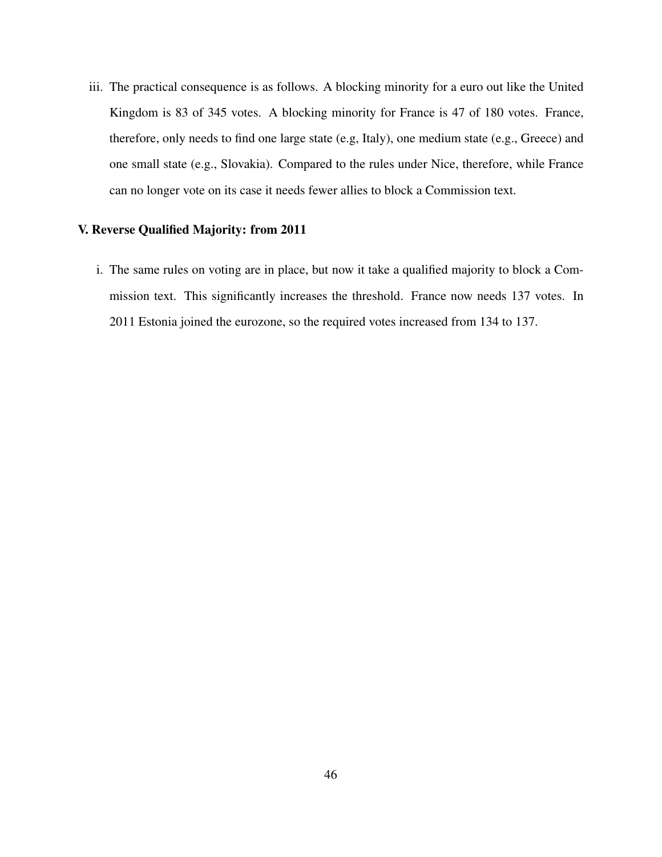iii. The practical consequence is as follows. A blocking minority for a euro out like the United Kingdom is 83 of 345 votes. A blocking minority for France is 47 of 180 votes. France, therefore, only needs to find one large state (e.g, Italy), one medium state (e.g., Greece) and one small state (e.g., Slovakia). Compared to the rules under Nice, therefore, while France can no longer vote on its case it needs fewer allies to block a Commission text.

#### V. Reverse Qualified Majority: from 2011

i. The same rules on voting are in place, but now it take a qualified majority to block a Commission text. This significantly increases the threshold. France now needs 137 votes. In 2011 Estonia joined the eurozone, so the required votes increased from 134 to 137.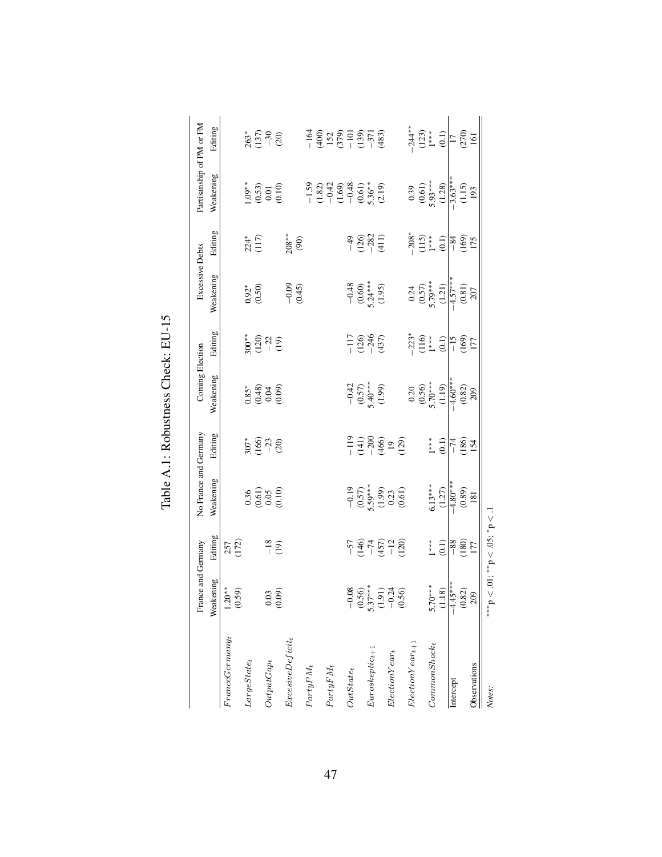<span id="page-46-0"></span>

|                                     | France and Germany                                                                          |                                                              | No France and Germany                                                                      |                                                         | Coming Election                                                                  |                                                          | Excessive Debts                                                               |                                                                                                                                                                                                                                                                                                                                                  | Partisanship of PM or FM                                                                                                |                                                                                                      |
|-------------------------------------|---------------------------------------------------------------------------------------------|--------------------------------------------------------------|--------------------------------------------------------------------------------------------|---------------------------------------------------------|----------------------------------------------------------------------------------|----------------------------------------------------------|-------------------------------------------------------------------------------|--------------------------------------------------------------------------------------------------------------------------------------------------------------------------------------------------------------------------------------------------------------------------------------------------------------------------------------------------|-------------------------------------------------------------------------------------------------------------------------|------------------------------------------------------------------------------------------------------|
|                                     | Weakening                                                                                   | Editing                                                      | Weakening                                                                                  | Editing                                                 | Weakening                                                                        | Editing                                                  | Weakening                                                                     | Editing                                                                                                                                                                                                                                                                                                                                          | Weakening                                                                                                               | Editing                                                                                              |
| France Germany                      | $1.20**$<br>(0.59)                                                                          | 257<br>[172]                                                 |                                                                                            |                                                         |                                                                                  |                                                          |                                                                               |                                                                                                                                                                                                                                                                                                                                                  |                                                                                                                         |                                                                                                      |
| $LargeState_t$                      |                                                                                             |                                                              |                                                                                            | $307*$<br>(166)<br>(2)                                  | $0.85$ <sup>*</sup><br>$0.48$<br>$0.04$<br>$0.09$                                | $\begin{array}{c} * \ * \ 0.20 \ 0.21 \ 0.9 \end{array}$ | $0.92*0.50$                                                                   | $224*$<br>(117)                                                                                                                                                                                                                                                                                                                                  | $\begin{array}{c} 1.09^{**} \\ 0.53 \\ 0.01 \\ 0.10 \end{array}$                                                        |                                                                                                      |
|                                     |                                                                                             |                                                              | $0.36$<br>$0.61$<br>$0.10$<br>$0.10$                                                       |                                                         |                                                                                  |                                                          |                                                                               |                                                                                                                                                                                                                                                                                                                                                  |                                                                                                                         | $\begin{array}{c} 36 \\ 137 \\ -30 \\ \hline 20 \end{array}$                                         |
| $OutputGap_t$                       | $\begin{array}{c} 0.03 \\ 0.09 \end{array}$                                                 | $\frac{8}{19}$                                               |                                                                                            |                                                         |                                                                                  |                                                          |                                                                               |                                                                                                                                                                                                                                                                                                                                                  |                                                                                                                         |                                                                                                      |
|                                     |                                                                                             |                                                              |                                                                                            |                                                         |                                                                                  |                                                          |                                                                               |                                                                                                                                                                                                                                                                                                                                                  |                                                                                                                         |                                                                                                      |
| $\label{eq:exce} Exercise2: p = 10$ |                                                                                             |                                                              |                                                                                            |                                                         |                                                                                  |                                                          | $-0.09$<br>(0.45)                                                             | $\frac{8}{8}$                                                                                                                                                                                                                                                                                                                                    |                                                                                                                         |                                                                                                      |
| $PartyPM_t$                         |                                                                                             |                                                              |                                                                                            |                                                         |                                                                                  |                                                          |                                                                               |                                                                                                                                                                                                                                                                                                                                                  |                                                                                                                         |                                                                                                      |
|                                     |                                                                                             |                                                              |                                                                                            |                                                         |                                                                                  |                                                          |                                                                               |                                                                                                                                                                                                                                                                                                                                                  | $-1.59$<br>$-1.82$ )<br>$-0.42$<br>$-0.43$<br>$-0.48$<br>$-0.53$<br>$-0.54$<br>$-0.54$<br>$-0.54$<br>$-0.54$<br>$-0.54$ | $-164$<br>$(400)$<br>$(579)$<br>$(-101)$<br>$(-37)$<br>$(-37)$<br>$(-33)$                            |
| ${\cal P}artyFM_t$                  |                                                                                             |                                                              |                                                                                            |                                                         |                                                                                  |                                                          |                                                                               |                                                                                                                                                                                                                                                                                                                                                  |                                                                                                                         |                                                                                                      |
|                                     |                                                                                             |                                                              |                                                                                            |                                                         |                                                                                  |                                                          |                                                                               |                                                                                                                                                                                                                                                                                                                                                  |                                                                                                                         |                                                                                                      |
| $OutState_t$                        |                                                                                             |                                                              |                                                                                            |                                                         |                                                                                  |                                                          |                                                                               |                                                                                                                                                                                                                                                                                                                                                  |                                                                                                                         |                                                                                                      |
|                                     |                                                                                             |                                                              |                                                                                            |                                                         |                                                                                  |                                                          |                                                                               |                                                                                                                                                                                                                                                                                                                                                  |                                                                                                                         |                                                                                                      |
| $Euroskeptic_{t+1}$                 |                                                                                             |                                                              |                                                                                            |                                                         |                                                                                  |                                                          |                                                                               |                                                                                                                                                                                                                                                                                                                                                  |                                                                                                                         |                                                                                                      |
|                                     |                                                                                             |                                                              |                                                                                            |                                                         | $\begin{array}{c} -0.42 \\ (0.57) \\ 5.40^{***} \\ (1.99) \end{array}$           | $\frac{1769}{1219}$                                      | $-0.48$<br>$(0.60)$<br>$5.24***$<br>$(1.95)$                                  | $\begin{array}{c} 49 \\ + 129 \\ + 119 \\ + 119 \\ + 119 \\ + 119 \\ + 119 \\ + 119 \\ + 119 \\ + 119 \\ + 119 \\ + 119 \\ + 119 \\ + 119 \\ + 119 \\ + 119 \\ + 119 \\ + 119 \\ + 119 \\ + 119 \\ + 119 \\ + 119 \\ + 119 \\ + 119 \\ + 119 \\ + 119 \\ + 119 \\ + 119 \\ + 119 \\ + 119 \\ + 119 \\ + 119 \\ + 119 \\ + 119 \\ + 119 \\ + 119$ |                                                                                                                         |                                                                                                      |
| $Election Year_t$                   | $\begin{array}{r} -0.08 \\ 0.56 \\ 0.537^{**} \\ 5.37^{**} \\ -0.24 \\ 0.50 \\ \end{array}$ | $\frac{-57}{146}$<br>$\frac{-74}{1457}$<br>$\frac{-12}{120}$ | $\begin{array}{c} -0.19 \\ (0.57) \\ 5.59^{***} \\ (1.99) \\ (0.23) \\ (0.61) \end{array}$ | $-119$<br>$-141$<br>$-206$<br>$-19$<br>$-129$<br>$-129$ |                                                                                  |                                                          |                                                                               |                                                                                                                                                                                                                                                                                                                                                  |                                                                                                                         |                                                                                                      |
|                                     |                                                                                             |                                                              |                                                                                            |                                                         |                                                                                  |                                                          |                                                                               |                                                                                                                                                                                                                                                                                                                                                  |                                                                                                                         |                                                                                                      |
| $ElectionYear_{t+1}$                |                                                                                             |                                                              |                                                                                            |                                                         |                                                                                  | $^{*}_{-223}$<br>$^{*}_{-1}$                             |                                                                               |                                                                                                                                                                                                                                                                                                                                                  |                                                                                                                         |                                                                                                      |
|                                     |                                                                                             |                                                              |                                                                                            |                                                         |                                                                                  |                                                          |                                                                               |                                                                                                                                                                                                                                                                                                                                                  |                                                                                                                         |                                                                                                      |
| $CommonShock_t$                     | $5.70***$                                                                                   | $* * *$                                                      | $6.13***$                                                                                  | $1***$                                                  |                                                                                  |                                                          |                                                                               |                                                                                                                                                                                                                                                                                                                                                  |                                                                                                                         |                                                                                                      |
|                                     | $\frac{(1.18)}{-4.45**}$<br>$(0.82)$<br>$209$                                               | $\frac{710}{1000}$                                           | $\frac{(1.27)}{-4.80***}$                                                                  | $\frac{10}{17}$<br>$\frac{12}{15}$                      | $0.20$<br>$0.56$<br>$5.70**$<br>$(-1.19)$<br>$(-4.60**)$<br>$(0.82)$<br>$(0.82)$ | $\frac{215}{150}$                                        | 0.24<br>$(0.57)$<br>$5.79***$<br>$(1.21)$<br>$(1.21)$<br>$(0.81)$<br>$(0.81)$ | $-208$<br>$(115)$<br>$1$ * * $(0.1)$<br>$(0.69)$<br>$(169)$                                                                                                                                                                                                                                                                                      | 0.39<br>$(0.61)$<br>5.93***<br>$(1.28)$<br>$(1.36)$<br>$(1.15)$<br>193                                                  | $-244**$<br>$(123)$<br>$1**$<br>$1*(123)$<br>$1\overline{) (123)}$<br>$1\overline{) (120)}$<br>$161$ |
| Intercept                           |                                                                                             |                                                              |                                                                                            |                                                         |                                                                                  |                                                          |                                                                               |                                                                                                                                                                                                                                                                                                                                                  |                                                                                                                         |                                                                                                      |
|                                     |                                                                                             |                                                              | $\begin{array}{c} (0.89) \\ 181 \end{array}$                                               |                                                         |                                                                                  |                                                          |                                                                               |                                                                                                                                                                                                                                                                                                                                                  |                                                                                                                         |                                                                                                      |
| Observations                        |                                                                                             |                                                              |                                                                                            |                                                         |                                                                                  |                                                          |                                                                               |                                                                                                                                                                                                                                                                                                                                                  |                                                                                                                         |                                                                                                      |
| Notes:                              | ****                                                                                        | $< 0.01$ ; **p $< 0.05$ ; *p $< 1$                           |                                                                                            |                                                         |                                                                                  |                                                          |                                                                               |                                                                                                                                                                                                                                                                                                                                                  |                                                                                                                         |                                                                                                      |

Table A.1: Robustness Check: EU-15 Table A.1: Robustness Check: EU-15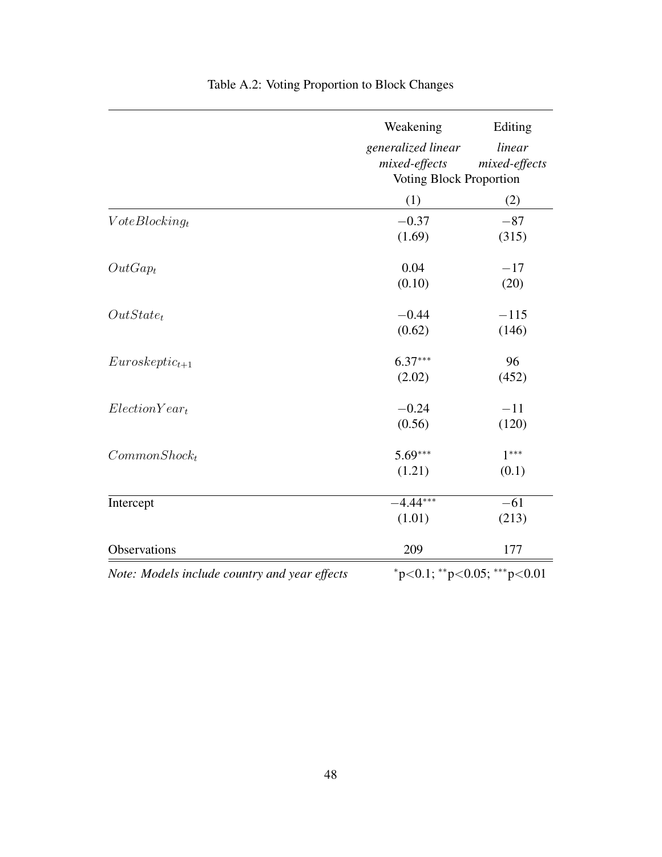<span id="page-47-0"></span>

|                                               | Weakening                          | Editing       |
|-----------------------------------------------|------------------------------------|---------------|
|                                               | generalized linear                 | linear        |
|                                               | $mixed\text{-}effects$             | mixed-effects |
|                                               | Voting Block Proportion            |               |
|                                               | (1)                                | (2)           |
| $VoteBlocking_t$                              | $-0.37$                            | $-87$         |
|                                               | (1.69)                             | (315)         |
| $OutGap_t$                                    | 0.04                               | $-17$         |
|                                               | (0.10)                             | (20)          |
| $OutState_t$                                  | $-0.44$                            | $-115$        |
|                                               | (0.62)                             | (146)         |
| $Euroskeptic_{t+1}$                           | $6.37***$                          | 96            |
|                                               | (2.02)                             | (452)         |
| $Election Year_t$                             | $-0.24$                            | $-11$         |
|                                               | (0.56)                             | (120)         |
| $CommonShock_t$                               | $5.69***$                          | $1***$        |
|                                               | (1.21)                             | (0.1)         |
| Intercept                                     | $-4.44***$                         | $-61$         |
|                                               | (1.01)                             | (213)         |
| Observations                                  | 209                                | 177           |
| Note: Models include country and year effects | $*_{p<0.1; *_{p<0.05; *_{p<0.01}}$ |               |

## Table A.2: Voting Proportion to Block Changes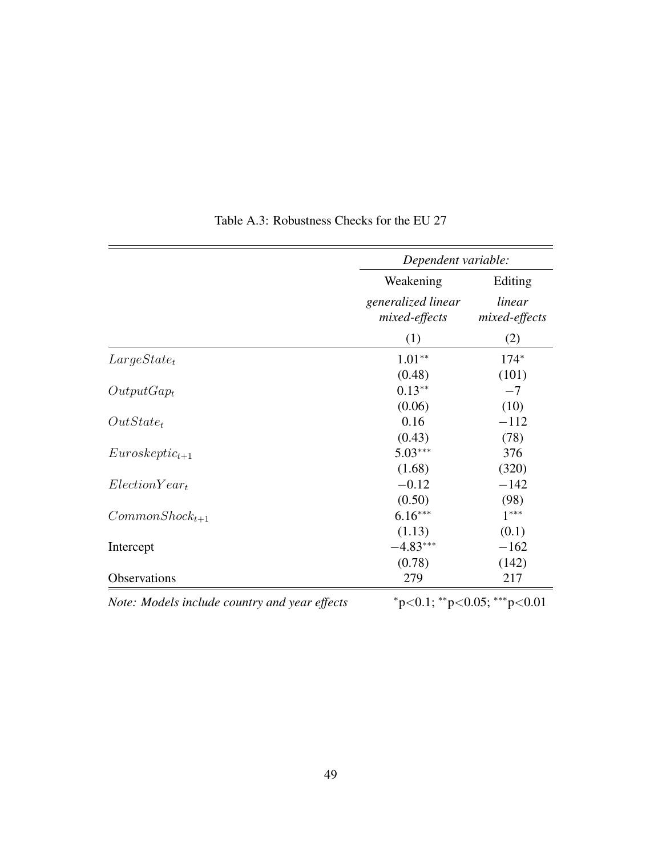<span id="page-48-0"></span>

|                      | Dependent variable:                 |                         |
|----------------------|-------------------------------------|-------------------------|
|                      | Weakening                           | Editing                 |
|                      | generalized linear<br>mixed-effects | linear<br>mixed-effects |
|                      | (1)                                 | (2)                     |
| $Large State_t$      | $1.01**$                            | $174*$                  |
|                      | (0.48)                              | (101)                   |
| $OutputGap_t$        | $0.13**$                            | $-7$                    |
|                      | (0.06)                              | (10)                    |
| $OutState_t$         | 0.16                                | $-112$                  |
|                      | (0.43)                              | (78)                    |
| $Euroskeptic_{t+1}$  | $5.03***$                           | 376                     |
|                      | (1.68)                              | (320)                   |
| $Election Year_t$    | $-0.12$                             | $-142$                  |
|                      | (0.50)                              | (98)                    |
| $Common Shock_{t+1}$ | $6.16***$                           | $1***$                  |
|                      | (1.13)                              | (0.1)                   |
| Intercept            | $-4.83***$                          | $-162$                  |
|                      | (0.78)                              | (142)                   |
| Observations         | 279                                 | 217                     |

Table A.3: Robustness Checks for the EU 27

*Note: Models include country and year effects*  $p<0.1$ ;  $*p<0.05$ ;  $**p<0.01$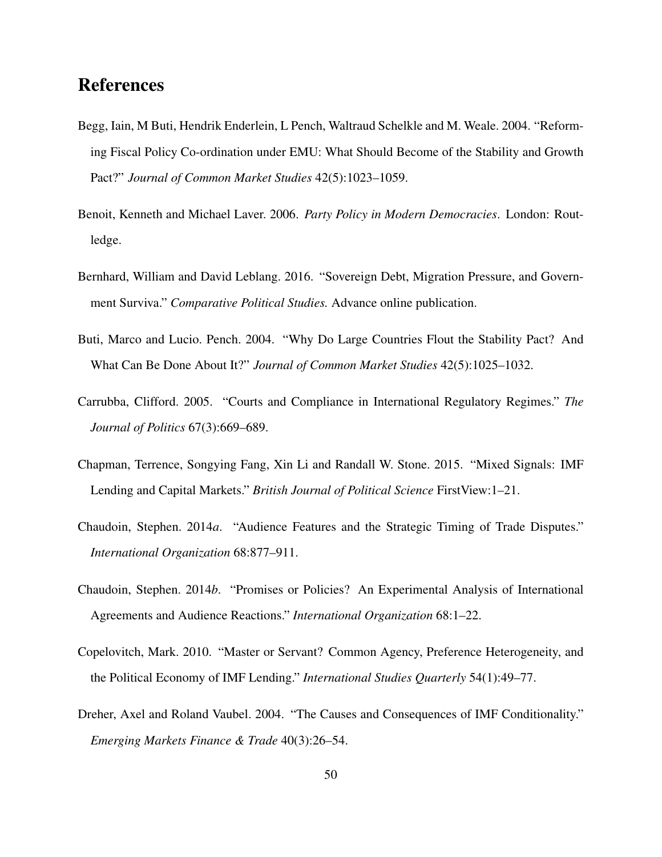### References

- <span id="page-49-3"></span>Begg, Iain, M Buti, Hendrik Enderlein, L Pench, Waltraud Schelkle and M. Weale. 2004. "Reforming Fiscal Policy Co-ordination under EMU: What Should Become of the Stability and Growth Pact?" *Journal of Common Market Studies* 42(5):1023–1059.
- <span id="page-49-8"></span>Benoit, Kenneth and Michael Laver. 2006. *Party Policy in Modern Democracies*. London: Routledge.
- <span id="page-49-0"></span>Bernhard, William and David Leblang. 2016. "Sovereign Debt, Migration Pressure, and Government Surviva." *Comparative Political Studies.* Advance online publication.
- <span id="page-49-4"></span>Buti, Marco and Lucio. Pench. 2004. "Why Do Large Countries Flout the Stability Pact? And What Can Be Done About It?" *Journal of Common Market Studies* 42(5):1025–1032.
- <span id="page-49-5"></span>Carrubba, Clifford. 2005. "Courts and Compliance in International Regulatory Regimes." *The Journal of Politics* 67(3):669–689.
- <span id="page-49-1"></span>Chapman, Terrence, Songying Fang, Xin Li and Randall W. Stone. 2015. "Mixed Signals: IMF Lending and Capital Markets." *British Journal of Political Science* FirstView:1–21.
- <span id="page-49-7"></span>Chaudoin, Stephen. 2014*a*. "Audience Features and the Strategic Timing of Trade Disputes." *International Organization* 68:877–911.
- <span id="page-49-6"></span>Chaudoin, Stephen. 2014*b*. "Promises or Policies? An Experimental Analysis of International Agreements and Audience Reactions." *International Organization* 68:1–22.
- <span id="page-49-2"></span>Copelovitch, Mark. 2010. "Master or Servant? Common Agency, Preference Heterogeneity, and the Political Economy of IMF Lending." *International Studies Quarterly* 54(1):49–77.
- <span id="page-49-9"></span>Dreher, Axel and Roland Vaubel. 2004. "The Causes and Consequences of IMF Conditionality." *Emerging Markets Finance & Trade* 40(3):26–54.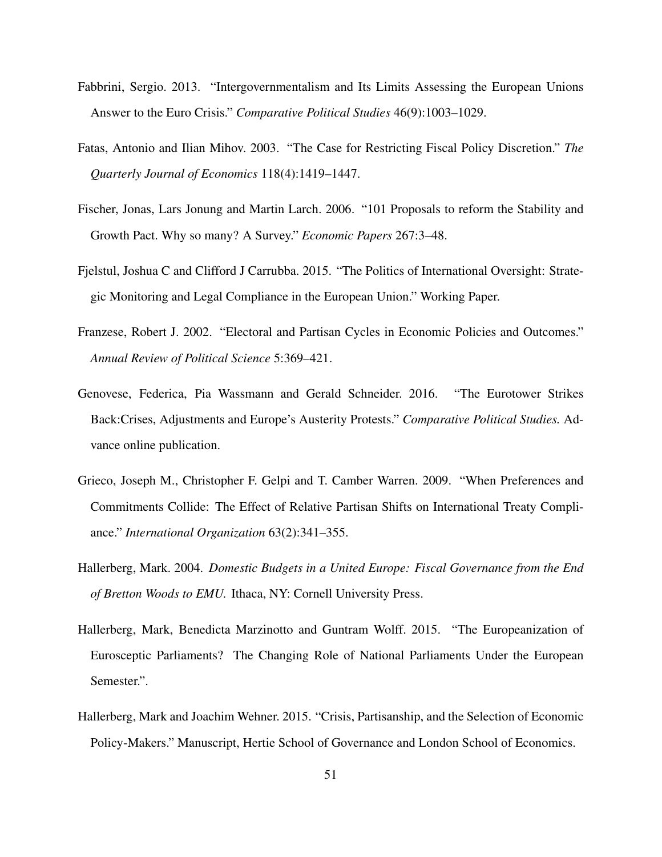- <span id="page-50-3"></span>Fabbrini, Sergio. 2013. "Intergovernmentalism and Its Limits Assessing the European Unions Answer to the Euro Crisis." *Comparative Political Studies* 46(9):1003–1029.
- <span id="page-50-4"></span>Fatas, Antonio and Ilian Mihov. 2003. "The Case for Restricting Fiscal Policy Discretion." *The Quarterly Journal of Economics* 118(4):1419–1447.
- <span id="page-50-2"></span>Fischer, Jonas, Lars Jonung and Martin Larch. 2006. "101 Proposals to reform the Stability and Growth Pact. Why so many? A Survey." *Economic Papers* 267:3–48.
- <span id="page-50-5"></span>Fjelstul, Joshua C and Clifford J Carrubba. 2015. "The Politics of International Oversight: Strategic Monitoring and Legal Compliance in the European Union." Working Paper.
- <span id="page-50-6"></span>Franzese, Robert J. 2002. "Electoral and Partisan Cycles in Economic Policies and Outcomes." *Annual Review of Political Science* 5:369–421.
- <span id="page-50-0"></span>Genovese, Federica, Pia Wassmann and Gerald Schneider. 2016. "The Eurotower Strikes Back:Crises, Adjustments and Europe's Austerity Protests." *Comparative Political Studies.* Advance online publication.
- <span id="page-50-7"></span>Grieco, Joseph M., Christopher F. Gelpi and T. Camber Warren. 2009. "When Preferences and Commitments Collide: The Effect of Relative Partisan Shifts on International Treaty Compliance." *International Organization* 63(2):341–355.
- <span id="page-50-1"></span>Hallerberg, Mark. 2004. *Domestic Budgets in a United Europe: Fiscal Governance from the End of Bretton Woods to EMU.* Ithaca, NY: Cornell University Press.
- <span id="page-50-9"></span>Hallerberg, Mark, Benedicta Marzinotto and Guntram Wolff. 2015. "The Europeanization of Eurosceptic Parliaments? The Changing Role of National Parliaments Under the European Semester.".
- <span id="page-50-8"></span>Hallerberg, Mark and Joachim Wehner. 2015. "Crisis, Partisanship, and the Selection of Economic Policy-Makers." Manuscript, Hertie School of Governance and London School of Economics.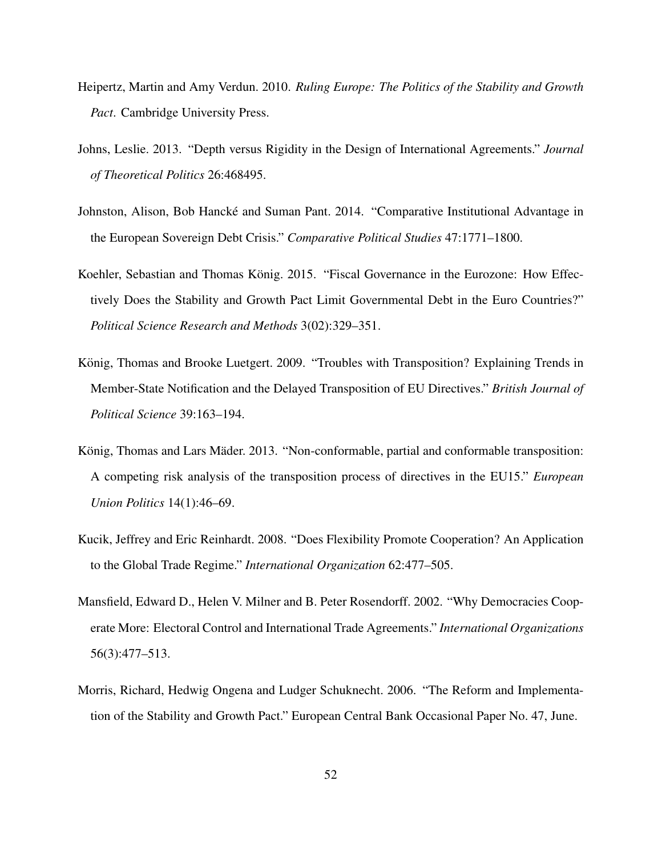- <span id="page-51-3"></span>Heipertz, Martin and Amy Verdun. 2010. *Ruling Europe: The Politics of the Stability and Growth Pact*. Cambridge University Press.
- <span id="page-51-0"></span>Johns, Leslie. 2013. "Depth versus Rigidity in the Design of International Agreements." *Journal of Theoretical Politics* 26:468495.
- <span id="page-51-8"></span>Johnston, Alison, Bob Hancké and Suman Pant. 2014. "Comparative Institutional Advantage in the European Sovereign Debt Crisis." *Comparative Political Studies* 47:1771–1800.
- <span id="page-51-4"></span>Koehler, Sebastian and Thomas König. 2015. "Fiscal Governance in the Eurozone: How Effectively Does the Stability and Growth Pact Limit Governmental Debt in the Euro Countries?" *Political Science Research and Methods* 3(02):329–351.
- <span id="page-51-7"></span>König, Thomas and Brooke Luetgert. 2009. "Troubles with Transposition? Explaining Trends in Member-State Notification and the Delayed Transposition of EU Directives." *British Journal of Political Science* 39:163–194.
- <span id="page-51-5"></span>König, Thomas and Lars Mäder. 2013. "Non-conformable, partial and conformable transposition: A competing risk analysis of the transposition process of directives in the EU15." *European Union Politics* 14(1):46–69.
- <span id="page-51-1"></span>Kucik, Jeffrey and Eric Reinhardt. 2008. "Does Flexibility Promote Cooperation? An Application to the Global Trade Regime." *International Organization* 62:477–505.
- <span id="page-51-2"></span>Mansfield, Edward D., Helen V. Milner and B. Peter Rosendorff. 2002. "Why Democracies Cooperate More: Electoral Control and International Trade Agreements." *International Organizations* 56(3):477–513.
- <span id="page-51-6"></span>Morris, Richard, Hedwig Ongena and Ludger Schuknecht. 2006. "The Reform and Implementation of the Stability and Growth Pact." European Central Bank Occasional Paper No. 47, June.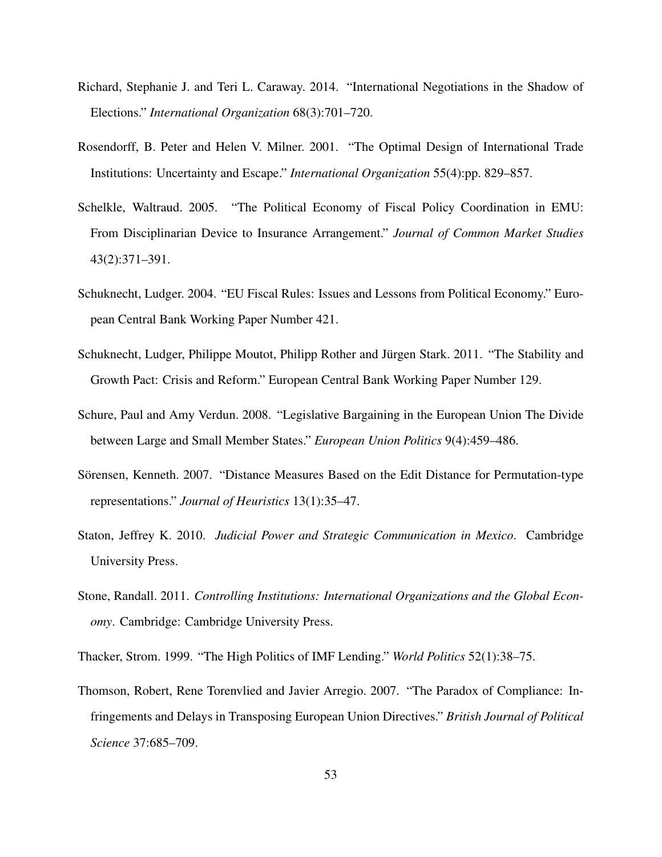- <span id="page-52-0"></span>Richard, Stephanie J. and Teri L. Caraway. 2014. "International Negotiations in the Shadow of Elections." *International Organization* 68(3):701–720.
- <span id="page-52-1"></span>Rosendorff, B. Peter and Helen V. Milner. 2001. "The Optimal Design of International Trade Institutions: Uncertainty and Escape." *International Organization* 55(4):pp. 829–857.
- <span id="page-52-3"></span>Schelkle, Waltraud. 2005. "The Political Economy of Fiscal Policy Coordination in EMU: From Disciplinarian Device to Insurance Arrangement." *Journal of Common Market Studies* 43(2):371–391.
- <span id="page-52-4"></span>Schuknecht, Ludger. 2004. "EU Fiscal Rules: Issues and Lessons from Political Economy." European Central Bank Working Paper Number 421.
- <span id="page-52-2"></span>Schuknecht, Ludger, Philippe Moutot, Philipp Rother and Jürgen Stark. 2011. "The Stability and Growth Pact: Crisis and Reform." European Central Bank Working Paper Number 129.
- <span id="page-52-8"></span>Schure, Paul and Amy Verdun. 2008. "Legislative Bargaining in the European Union The Divide between Large and Small Member States." *European Union Politics* 9(4):459–486.
- <span id="page-52-10"></span>Sörensen, Kenneth. 2007. "Distance Measures Based on the Edit Distance for Permutation-type representations." *Journal of Heuristics* 13(1):35–47.
- <span id="page-52-5"></span>Staton, Jeffrey K. 2010. *Judicial Power and Strategic Communication in Mexico*. Cambridge University Press.
- <span id="page-52-7"></span>Stone, Randall. 2011. *Controlling Institutions: International Organizations and the Global Economy*. Cambridge: Cambridge University Press.
- <span id="page-52-6"></span>Thacker, Strom. 1999. "The High Politics of IMF Lending." *World Politics* 52(1):38–75.
- <span id="page-52-9"></span>Thomson, Robert, Rene Torenvlied and Javier Arregio. 2007. "The Paradox of Compliance: Infringements and Delays in Transposing European Union Directives." *British Journal of Political Science* 37:685–709.